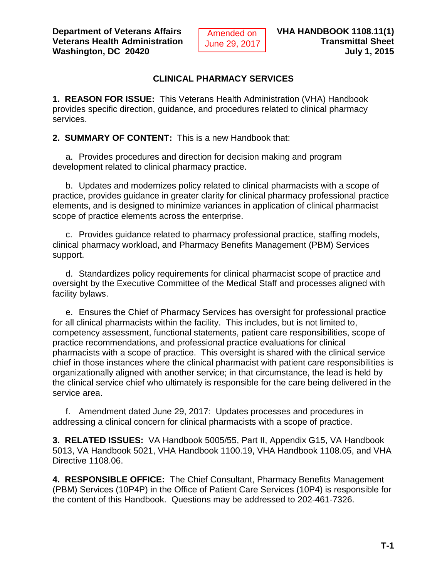## **CLINICAL PHARMACY SERVICES**

**1. REASON FOR ISSUE:** This Veterans Health Administration (VHA) Handbook provides specific direction, guidance, and procedures related to clinical pharmacy services.

**2. SUMMARY OF CONTENT:** This is a new Handbook that:

a. Provides procedures and direction for decision making and program development related to clinical pharmacy practice.

b. Updates and modernizes policy related to clinical pharmacists with a scope of practice, provides guidance in greater clarity for clinical pharmacy professional practice elements, and is designed to minimize variances in application of clinical pharmacist scope of practice elements across the enterprise.

c. Provides guidance related to pharmacy professional practice, staffing models, clinical pharmacy workload, and Pharmacy Benefits Management (PBM) Services support.

d. Standardizes policy requirements for clinical pharmacist scope of practice and oversight by the Executive Committee of the Medical Staff and processes aligned with facility bylaws.

e. Ensures the Chief of Pharmacy Services has oversight for professional practice for all clinical pharmacists within the facility. This includes, but is not limited to, competency assessment, functional statements, patient care responsibilities, scope of practice recommendations, and professional practice evaluations for clinical pharmacists with a scope of practice. This oversight is shared with the clinical service chief in those instances where the clinical pharmacist with patient care responsibilities is organizationally aligned with another service; in that circumstance, the lead is held by the clinical service chief who ultimately is responsible for the care being delivered in the service area.

f. Amendment dated June 29, 2017: Updates processes and procedures in addressing a clinical concern for clinical pharmacists with a scope of practice.

**3. RELATED ISSUES:** VA Handbook 5005/55, Part II, Appendix G15, VA Handbook 5013, VA Handbook 5021, VHA Handbook 1100.19, VHA Handbook 1108.05, and VHA Directive 1108.06.

**4. RESPONSIBLE OFFICE:** The Chief Consultant, Pharmacy Benefits Management (PBM) Services (10P4P) in the Office of Patient Care Services (10P4) is responsible for the content of this Handbook. Questions may be addressed to 202-461-7326.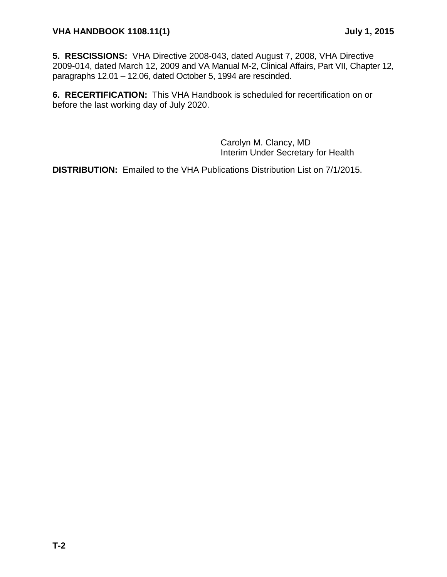## **VHA HANDBOOK 1108.11(1) July 1, 2015**

**5. RESCISSIONS:** VHA Directive 2008‐043, dated August 7, 2008, VHA Directive 2009-014, dated March 12, 2009 and VA Manual M-2, Clinical Affairs, Part VII, Chapter 12, paragraphs 12.01 – 12.06, dated October 5, 1994 are rescinded.

**6. RECERTIFICATION:** This VHA Handbook is scheduled for recertification on or before the last working day of July 2020.

> Carolyn M. Clancy, MD Interim Under Secretary for Health

**DISTRIBUTION:** Emailed to the VHA Publications Distribution List on 7/1/2015.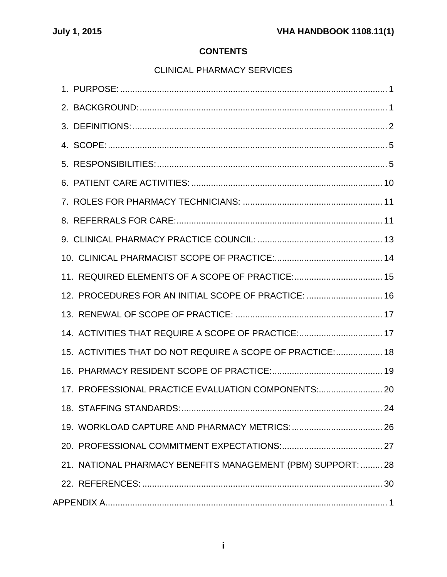# **CONTENTS**

# [CLINICAL PHARMACY SERVICES](#page-4-0)

| 11. REQUIRED ELEMENTS OF A SCOPE OF PRACTICE: 15             |
|--------------------------------------------------------------|
| 12. PROCEDURES FOR AN INITIAL SCOPE OF PRACTICE:  16         |
|                                                              |
| 14. ACTIVITIES THAT REQUIRE A SCOPE OF PRACTICE:  17         |
| 15. ACTIVITIES THAT DO NOT REQUIRE A SCOPE OF PRACTICE: 18   |
|                                                              |
| 17. PROFESSIONAL PRACTICE EVALUATION COMPONENTS:             |
| 18. STAFFING STANDARDS:<br>24                                |
|                                                              |
|                                                              |
| 21. NATIONAL PHARMACY BENEFITS MANAGEMENT (PBM) SUPPORT:  28 |
|                                                              |
|                                                              |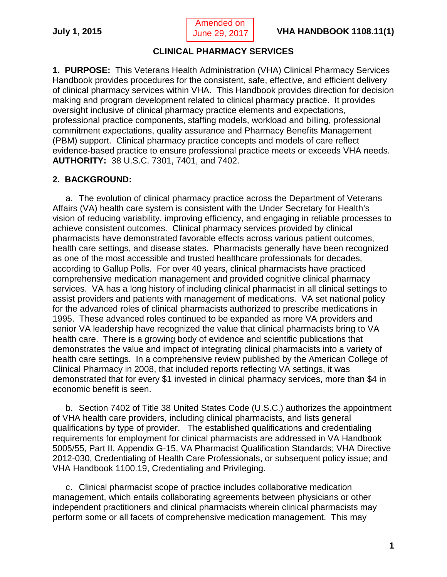Amended on June 29, 2017

## **CLINICAL PHARMACY SERVICES**

<span id="page-4-1"></span><span id="page-4-0"></span>**1. PURPOSE:** This Veterans Health Administration (VHA) Clinical Pharmacy Services Handbook provides procedures for the consistent, safe, effective, and efficient delivery of clinical pharmacy services within VHA. This Handbook provides direction for decision making and program development related to clinical pharmacy practice. It provides oversight inclusive of clinical pharmacy practice elements and expectations, professional practice components, staffing models, workload and billing, professional commitment expectations, quality assurance and Pharmacy Benefits Management (PBM) support. Clinical pharmacy practice concepts and models of care reflect evidence-based practice to ensure professional practice meets or exceeds VHA needs. **AUTHORITY:** 38 U.S.C. 7301, 7401, and 7402.

## <span id="page-4-2"></span>**2. BACKGROUND:**

a. The evolution of clinical pharmacy practice across the Department of Veterans Affairs (VA) health care system is consistent with the Under Secretary for Health's vision of reducing variability, improving efficiency, and engaging in reliable processes to achieve consistent outcomes. Clinical pharmacy services provided by clinical pharmacists have demonstrated favorable effects across various patient outcomes, health care settings, and disease states. Pharmacists generally have been recognized as one of the most accessible and trusted healthcare professionals for decades, according to Gallup Polls. For over 40 years, clinical pharmacists have practiced comprehensive medication management and provided cognitive clinical pharmacy services. VA has a long history of including clinical pharmacist in all clinical settings to assist providers and patients with management of medications. VA set national policy for the advanced roles of clinical pharmacists authorized to prescribe medications in 1995. These advanced roles continued to be expanded as more VA providers and senior VA leadership have recognized the value that clinical pharmacists bring to VA health care. There is a growing body of evidence and scientific publications that demonstrates the value and impact of integrating clinical pharmacists into a variety of health care settings. In a comprehensive review published by the American College of Clinical Pharmacy in 2008, that included reports reflecting VA settings, it was demonstrated that for every \$1 invested in clinical pharmacy services, more than \$4 in economic benefit is seen.

b. Section 7402 of Title 38 United States Code (U.S.C.) authorizes the appointment of VHA health care providers, including clinical pharmacists, and lists general qualifications by type of provider. The established qualifications and credentialing requirements for employment for clinical pharmacists are addressed in VA Handbook 5005/55, Part II, Appendix G-15, VA Pharmacist Qualification Standards; VHA Directive 2012-030, Credentialing of Health Care Professionals, or subsequent policy issue; and VHA Handbook 1100.19, Credentialing and Privileging.

c. Clinical pharmacist scope of practice includes collaborative medication management, which entails collaborating agreements between physicians or other independent practitioners and clinical pharmacists wherein clinical pharmacists may perform some or all facets of comprehensive medication management. This may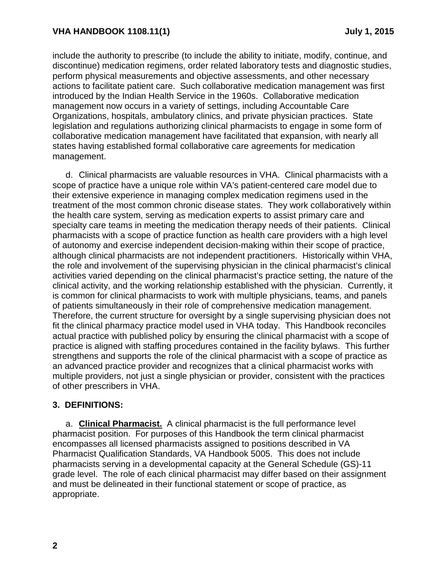include the authority to prescribe (to include the ability to initiate, modify, continue, and discontinue) medication regimens, order related laboratory tests and diagnostic studies, perform physical measurements and objective assessments, and other necessary actions to facilitate patient care. Such collaborative medication management was first introduced by the Indian Health Service in the 1960s. Collaborative medication management now occurs in a variety of settings, including Accountable Care Organizations, hospitals, ambulatory clinics, and private physician practices. State legislation and regulations authorizing clinical pharmacists to engage in some form of collaborative medication management have facilitated that expansion, with nearly all states having established formal collaborative care agreements for medication management.

d. Clinical pharmacists are valuable resources in VHA. Clinical pharmacists with a scope of practice have a unique role within VA's patient-centered care model due to their extensive experience in managing complex medication regimens used in the treatment of the most common chronic disease states. They work collaboratively within the health care system, serving as medication experts to assist primary care and specialty care teams in meeting the medication therapy needs of their patients. Clinical pharmacists with a scope of practice function as health care providers with a high level of autonomy and exercise independent decision-making within their scope of practice, although clinical pharmacists are not independent practitioners. Historically within VHA, the role and involvement of the supervising physician in the clinical pharmacist's clinical activities varied depending on the clinical pharmacist's practice setting, the nature of the clinical activity, and the working relationship established with the physician. Currently, it is common for clinical pharmacists to work with multiple physicians, teams, and panels of patients simultaneously in their role of comprehensive medication management. Therefore, the current structure for oversight by a single supervising physician does not fit the clinical pharmacy practice model used in VHA today. This Handbook reconciles actual practice with published policy by ensuring the clinical pharmacist with a scope of practice is aligned with staffing procedures contained in the facility bylaws. This further strengthens and supports the role of the clinical pharmacist with a scope of practice as an advanced practice provider and recognizes that a clinical pharmacist works with multiple providers, not just a single physician or provider, consistent with the practices of other prescribers in VHA.

## <span id="page-5-0"></span>**3. DEFINITIONS:**

a. **Clinical Pharmacist.** A clinical pharmacist is the full performance level pharmacist position. For purposes of this Handbook the term clinical pharmacist encompasses all licensed pharmacists assigned to positions described in VA Pharmacist Qualification Standards, VA Handbook 5005. This does not include pharmacists serving in a developmental capacity at the General Schedule (GS)-11 grade level. The role of each clinical pharmacist may differ based on their assignment and must be delineated in their functional statement or scope of practice, as appropriate.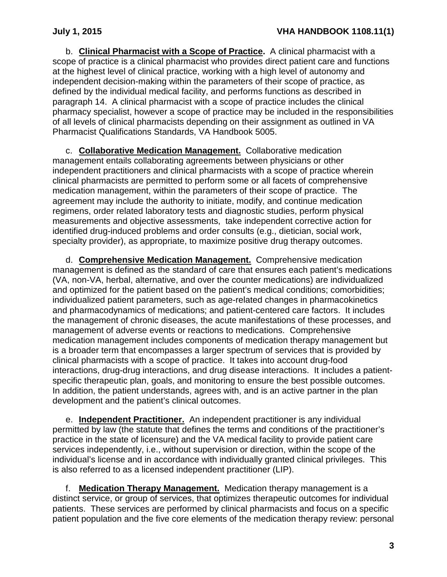b. **Clinical Pharmacist with a Scope of Practice.** A clinical pharmacist with a scope of practice is a clinical pharmacist who provides direct patient care and functions at the highest level of clinical practice, working with a high level of autonomy and independent decision-making within the parameters of their scope of practice, as defined by the individual medical facility, and performs functions as described in paragraph 14. A clinical pharmacist with a scope of practice includes the clinical pharmacy specialist, however a scope of practice may be included in the responsibilities of all levels of clinical pharmacists depending on their assignment as outlined in VA Pharmacist Qualifications Standards, VA Handbook 5005.

c. **Collaborative Medication Management.** Collaborative medication management entails collaborating agreements between physicians or other independent practitioners and clinical pharmacists with a scope of practice wherein clinical pharmacists are permitted to perform some or all facets of comprehensive medication management, within the parameters of their scope of practice. The agreement may include the authority to initiate, modify, and continue medication regimens, order related laboratory tests and diagnostic studies, perform physical measurements and objective assessments, take independent corrective action for identified drug-induced problems and order consults (e.g., dietician, social work, specialty provider), as appropriate, to maximize positive drug therapy outcomes.

d. **Comprehensive Medication Management.** Comprehensive medication management is defined as the standard of care that ensures each patient's medications (VA, non-VA, herbal, alternative, and over the counter medications) are individualized and optimized for the patient based on the patient's medical conditions; comorbidities; individualized patient parameters, such as age-related changes in pharmacokinetics and pharmacodynamics of medications; and patient-centered care factors. It includes the management of chronic diseases, the acute manifestations of these processes, and management of adverse events or reactions to medications. Comprehensive medication management includes components of medication therapy management but is a broader term that encompasses a larger spectrum of services that is provided by clinical pharmacists with a scope of practice. It takes into account drug-food interactions, drug-drug interactions, and drug disease interactions. It includes a patientspecific therapeutic plan, goals, and monitoring to ensure the best possible outcomes. In addition, the patient understands, agrees with, and is an active partner in the plan development and the patient's clinical outcomes.

e. **Independent Practitioner.** An independent practitioner is any individual permitted by law (the statute that defines the terms and conditions of the practitioner's practice in the state of licensure) and the VA medical facility to provide patient care services independently, i.e., without supervision or direction, within the scope of the individual's license and in accordance with individually granted clinical privileges. This is also referred to as a licensed independent practitioner (LIP).

f. **Medication Therapy Management.** Medication therapy management is a distinct service, or group of services, that optimizes therapeutic outcomes for individual patients. These services are performed by clinical pharmacists and focus on a specific patient population and the five core elements of the medication therapy review: personal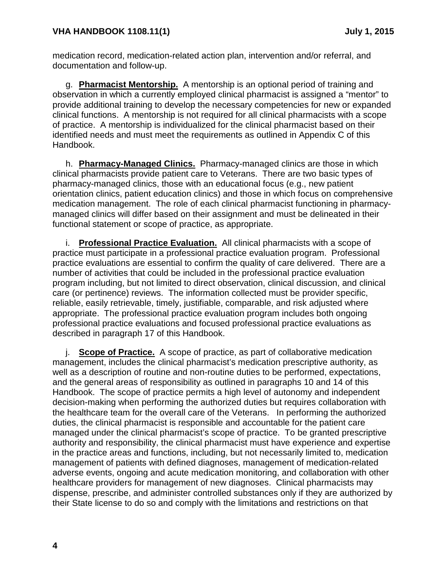medication record, medication-related action plan, intervention and/or referral, and documentation and follow-up.

g. **Pharmacist Mentorship.** A mentorship is an optional period of training and observation in which a currently employed clinical pharmacist is assigned a "mentor" to provide additional training to develop the necessary competencies for new or expanded clinical functions. A mentorship is not required for all clinical pharmacists with a scope of practice. A mentorship is individualized for the clinical pharmacist based on their identified needs and must meet the requirements as outlined in Appendix C of this Handbook.

h. **Pharmacy-Managed Clinics.** Pharmacy-managed clinics are those in which clinical pharmacists provide patient care to Veterans. There are two basic types of pharmacy-managed clinics, those with an educational focus (e.g., new patient orientation clinics, patient education clinics) and those in which focus on comprehensive medication management. The role of each clinical pharmacist functioning in pharmacymanaged clinics will differ based on their assignment and must be delineated in their functional statement or scope of practice, as appropriate.

i. **Professional Practice Evaluation.** All clinical pharmacists with a scope of practice must participate in a professional practice evaluation program. Professional practice evaluations are essential to confirm the quality of care delivered. There are a number of activities that could be included in the professional practice evaluation program including, but not limited to direct observation, clinical discussion, and clinical care (or pertinence) reviews. The information collected must be provider specific, reliable, easily retrievable, timely, justifiable, comparable, and risk adjusted where appropriate. The professional practice evaluation program includes both ongoing professional practice evaluations and focused professional practice evaluations as described in paragraph 17 of this Handbook.

j. **Scope of Practice.** A scope of practice, as part of collaborative medication management, includes the clinical pharmacist's medication prescriptive authority, as well as a description of routine and non-routine duties to be performed, expectations, and the general areas of responsibility as outlined in paragraphs 10 and 14 of this Handbook. The scope of practice permits a high level of autonomy and independent decision-making when performing the authorized duties but requires collaboration with the healthcare team for the overall care of the Veterans. In performing the authorized duties, the clinical pharmacist is responsible and accountable for the patient care managed under the clinical pharmacist's scope of practice. To be granted prescriptive authority and responsibility, the clinical pharmacist must have experience and expertise in the practice areas and functions, including, but not necessarily limited to, medication management of patients with defined diagnoses, management of medication-related adverse events, ongoing and acute medication monitoring, and collaboration with other healthcare providers for management of new diagnoses. Clinical pharmacists may dispense, prescribe, and administer controlled substances only if they are authorized by their State license to do so and comply with the limitations and restrictions on that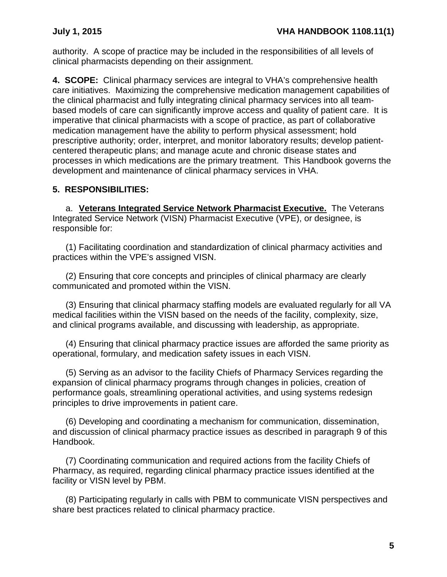authority. A scope of practice may be included in the responsibilities of all levels of clinical pharmacists depending on their assignment.

<span id="page-8-0"></span>**4. SCOPE:** Clinical pharmacy services are integral to VHA's comprehensive health care initiatives.Maximizing the comprehensive medication management capabilities of the clinical pharmacist and fully integrating clinical pharmacy services into all teambased models of care can significantly improve access and quality of patient care. It is imperative that clinical pharmacists with a scope of practice, as part of collaborative medication management have the ability to perform physical assessment; hold prescriptive authority; order, interpret, and monitor laboratory results; develop patientcentered therapeutic plans; and manage acute and chronic disease states and processes in which medications are the primary treatment. This Handbook governs the development and maintenance of clinical pharmacy services in VHA.

# <span id="page-8-1"></span>**5. RESPONSIBILITIES:**

a. **Veterans Integrated Service Network Pharmacist Executive.** The Veterans Integrated Service Network (VISN) Pharmacist Executive (VPE), or designee, is responsible for:

(1) Facilitating coordination and standardization of clinical pharmacy activities and practices within the VPE's assigned VISN.

(2) Ensuring that core concepts and principles of clinical pharmacy are clearly communicated and promoted within the VISN.

(3) Ensuring that clinical pharmacy staffing models are evaluated regularly for all VA medical facilities within the VISN based on the needs of the facility, complexity, size, and clinical programs available, and discussing with leadership, as appropriate.

(4) Ensuring that clinical pharmacy practice issues are afforded the same priority as operational, formulary, and medication safety issues in each VISN.

(5) Serving as an advisor to the facility Chiefs of Pharmacy Services regarding the expansion of clinical pharmacy programs through changes in policies, creation of performance goals, streamlining operational activities, and using systems redesign principles to drive improvements in patient care.

(6) Developing and coordinating a mechanism for communication, dissemination, and discussion of clinical pharmacy practice issues as described in paragraph 9 of this Handbook.

(7) Coordinating communication and required actions from the facility Chiefs of Pharmacy, as required, regarding clinical pharmacy practice issues identified at the facility or VISN level by PBM.

(8) Participating regularly in calls with PBM to communicate VISN perspectives and share best practices related to clinical pharmacy practice.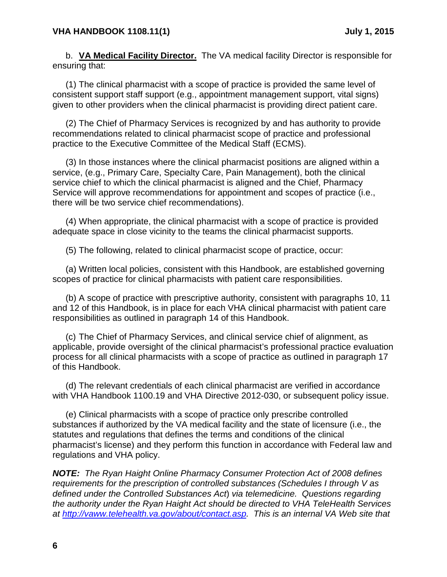b. **VA Medical Facility Director.** The VA medical facility Director is responsible for ensuring that:

(1) The clinical pharmacist with a scope of practice is provided the same level of consistent support staff support (e.g., appointment management support, vital signs) given to other providers when the clinical pharmacist is providing direct patient care.

(2) The Chief of Pharmacy Services is recognized by and has authority to provide recommendations related to clinical pharmacist scope of practice and professional practice to the Executive Committee of the Medical Staff (ECMS).

(3) In those instances where the clinical pharmacist positions are aligned within a service, (e.g., Primary Care, Specialty Care, Pain Management), both the clinical service chief to which the clinical pharmacist is aligned and the Chief, Pharmacy Service will approve recommendations for appointment and scopes of practice (i.e., there will be two service chief recommendations).

(4) When appropriate, the clinical pharmacist with a scope of practice is provided adequate space in close vicinity to the teams the clinical pharmacist supports.

(5) The following, related to clinical pharmacist scope of practice, occur:

(a) Written local policies, consistent with this Handbook, are established governing scopes of practice for clinical pharmacists with patient care responsibilities.

(b) A scope of practice with prescriptive authority, consistent with paragraphs 10, 11 and 12 of this Handbook, is in place for each VHA clinical pharmacist with patient care responsibilities as outlined in paragraph 14 of this Handbook.

(c) The Chief of Pharmacy Services, and clinical service chief of alignment, as applicable, provide oversight of the clinical pharmacist's professional practice evaluation process for all clinical pharmacists with a scope of practice as outlined in paragraph 17 of this Handbook.

(d) The relevant credentials of each clinical pharmacist are verified in accordance with VHA Handbook 1100.19 and VHA Directive 2012-030, or subsequent policy issue.

(e) Clinical pharmacists with a scope of practice only prescribe controlled substances if authorized by the VA medical facility and the state of licensure (i.e., the statutes and regulations that defines the terms and conditions of the clinical pharmacist's license) and they perform this function in accordance with Federal law and regulations and VHA policy.

*NOTE: The Ryan Haight Online Pharmacy Consumer Protection Act of 2008 defines requirements for the prescription of controlled substances (Schedules I through V as defined under the Controlled Substances Act*) *via telemedicine. Questions regarding the authority under the Ryan Haight Act should be directed to VHA TeleHealth Services at [http://vaww.telehealth.va.gov/about/contact.asp.](http://vaww.telehealth.va.gov/about/contact.asp) This is an internal VA Web site that*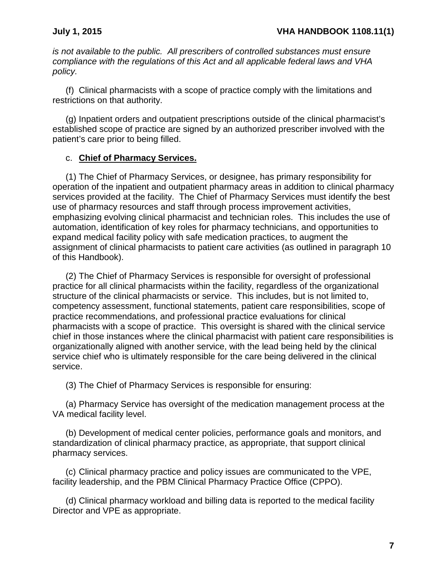*is not available to the public. All prescribers of controlled substances must ensure compliance with the regulations of this Act and all applicable federal laws and VHA policy.*

(f) Clinical pharmacists with a scope of practice comply with the limitations and restrictions on that authority.

(g) Inpatient orders and outpatient prescriptions outside of the clinical pharmacist's established scope of practice are signed by an authorized prescriber involved with the patient's care prior to being filled.

## c. **Chief of Pharmacy Services.**

(1) The Chief of Pharmacy Services, or designee, has primary responsibility for operation of the inpatient and outpatient pharmacy areas in addition to clinical pharmacy services provided at the facility. The Chief of Pharmacy Services must identify the best use of pharmacy resources and staff through process improvement activities, emphasizing evolving clinical pharmacist and technician roles. This includes the use of automation, identification of key roles for pharmacy technicians, and opportunities to expand medical facility policy with safe medication practices, to augment the assignment of clinical pharmacists to patient care activities (as outlined in paragraph 10 of this Handbook).

(2) The Chief of Pharmacy Services is responsible for oversight of professional practice for all clinical pharmacists within the facility, regardless of the organizational structure of the clinical pharmacists or service. This includes, but is not limited to, competency assessment, functional statements, patient care responsibilities, scope of practice recommendations, and professional practice evaluations for clinical pharmacists with a scope of practice. This oversight is shared with the clinical service chief in those instances where the clinical pharmacist with patient care responsibilities is organizationally aligned with another service, with the lead being held by the clinical service chief who is ultimately responsible for the care being delivered in the clinical service.

(3) The Chief of Pharmacy Services is responsible for ensuring:

(a) Pharmacy Service has oversight of the medication management process at the VA medical facility level.

(b) Development of medical center policies, performance goals and monitors, and standardization of clinical pharmacy practice, as appropriate, that support clinical pharmacy services.

(c) Clinical pharmacy practice and policy issues are communicated to the VPE, facility leadership, and the PBM Clinical Pharmacy Practice Office (CPPO).

(d) Clinical pharmacy workload and billing data is reported to the medical facility Director and VPE as appropriate.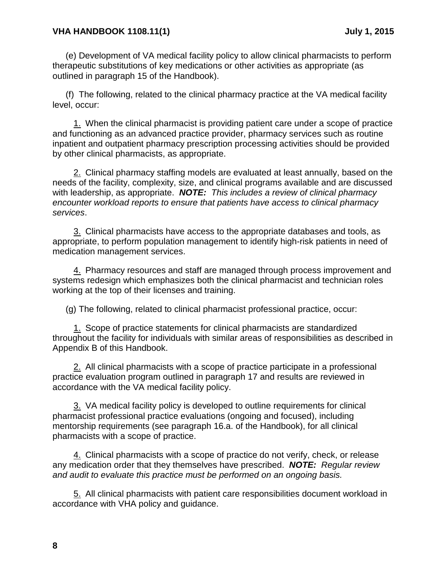#### **VHA HANDBOOK 1108.11(1) July 1, 2015**

(e) Development of VA medical facility policy to allow clinical pharmacists to perform therapeutic substitutions of key medications or other activities as appropriate (as outlined in paragraph 15 of the Handbook).

(f) The following, related to the clinical pharmacy practice at the VA medical facility level, occur:

1. When the clinical pharmacist is providing patient care under a scope of practice and functioning as an advanced practice provider, pharmacy services such as routine inpatient and outpatient pharmacy prescription processing activities should be provided by other clinical pharmacists, as appropriate.

2. Clinical pharmacy staffing models are evaluated at least annually, based on the needs of the facility, complexity, size, and clinical programs available and are discussed with leadership, as appropriate. *NOTE: This includes a review of clinical pharmacy encounter workload reports to ensure that patients have access to clinical pharmacy services*.

3. Clinical pharmacists have access to the appropriate databases and tools, as appropriate, to perform population management to identify high-risk patients in need of medication management services.

4. Pharmacy resources and staff are managed through process improvement and systems redesign which emphasizes both the clinical pharmacist and technician roles working at the top of their licenses and training.

(g) The following, related to clinical pharmacist professional practice, occur:

1. Scope of practice statements for clinical pharmacists are standardized throughout the facility for individuals with similar areas of responsibilities as described in Appendix B of this Handbook.

2. All clinical pharmacists with a scope of practice participate in a professional practice evaluation program outlined in paragraph 17 and results are reviewed in accordance with the VA medical facility policy.

3. VA medical facility policy is developed to outline requirements for clinical pharmacist professional practice evaluations (ongoing and focused), including mentorship requirements (see paragraph 16.a. of the Handbook), for all clinical pharmacists with a scope of practice.

4. Clinical pharmacists with a scope of practice do not verify, check, or release any medication order that they themselves have prescribed. *NOTE: Regular review and audit to evaluate this practice must be performed on an ongoing basis.*

5. All clinical pharmacists with patient care responsibilities document workload in accordance with VHA policy and guidance.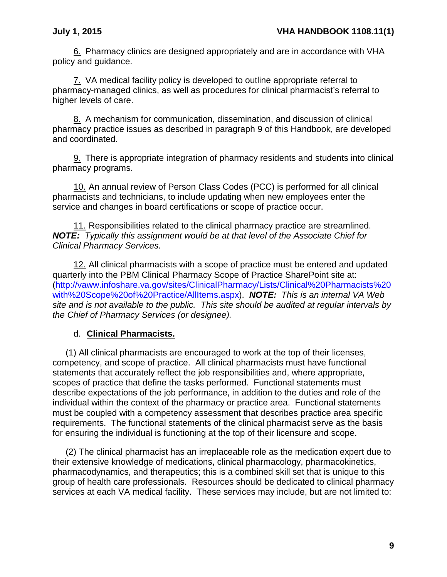6. Pharmacy clinics are designed appropriately and are in accordance with VHA policy and guidance.

7. VA medical facility policy is developed to outline appropriate referral to pharmacy-managed clinics, as well as procedures for clinical pharmacist's referral to higher levels of care.

8. A mechanism for communication, dissemination, and discussion of clinical pharmacy practice issues as described in paragraph 9 of this Handbook, are developed and coordinated.

9. There is appropriate integration of pharmacy residents and students into clinical pharmacy programs.

10. An annual review of Person Class Codes (PCC) is performed for all clinical pharmacists and technicians, to include updating when new employees enter the service and changes in board certifications or scope of practice occur.

11. Responsibilities related to the clinical pharmacy practice are streamlined. *NOTE: Typically this assignment would be at that level of the Associate Chief for Clinical Pharmacy Services.*

12. All clinical pharmacists with a scope of practice must be entered and updated quarterly into the PBM Clinical Pharmacy Scope of Practice SharePoint site at: [\(http://vaww.infoshare.va.gov/sites/ClinicalPharmacy/Lists/Clinical%20Pharmacists%20](http://vaww.infoshare.va.gov/sites/ClinicalPharmacy/Lists/Clinical%20Pharmacists%20with%20Scope%20of%20Practice/AllItems.aspx) [with%20Scope%20of%20Practice/AllItems.aspx\)](http://vaww.infoshare.va.gov/sites/ClinicalPharmacy/Lists/Clinical%20Pharmacists%20with%20Scope%20of%20Practice/AllItems.aspx). *NOTE: This is an internal VA Web site and is not available to the public. This site should be audited at regular intervals by the Chief of Pharmacy Services (or designee).*

## d. **Clinical Pharmacists.**

(1) All clinical pharmacists are encouraged to work at the top of their licenses, competency, and scope of practice. All clinical pharmacists must have functional statements that accurately reflect the job responsibilities and, where appropriate, scopes of practice that define the tasks performed. Functional statements must describe expectations of the job performance, in addition to the duties and role of the individual within the context of the pharmacy or practice area. Functional statements must be coupled with a competency assessment that describes practice area specific requirements. The functional statements of the clinical pharmacist serve as the basis for ensuring the individual is functioning at the top of their licensure and scope.

(2) The clinical pharmacist has an irreplaceable role as the medication expert due to their extensive knowledge of medications, clinical pharmacology, pharmacokinetics, pharmacodynamics, and therapeutics; this is a combined skill set that is unique to this group of health care professionals. Resources should be dedicated to clinical pharmacy services at each VA medical facility. These services may include, but are not limited to: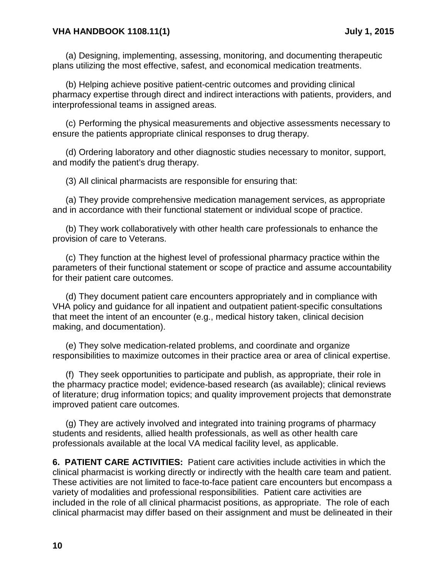#### **VHA HANDBOOK 1108.11(1) July 1, 2015**

(a) Designing, implementing, assessing, monitoring, and documenting therapeutic plans utilizing the most effective, safest, and economical medication treatments.

(b) Helping achieve positive patient-centric outcomes and providing clinical pharmacy expertise through direct and indirect interactions with patients, providers, and interprofessional teams in assigned areas.

(c) Performing the physical measurements and objective assessments necessary to ensure the patients appropriate clinical responses to drug therapy.

(d) Ordering laboratory and other diagnostic studies necessary to monitor, support, and modify the patient's drug therapy.

(3) All clinical pharmacists are responsible for ensuring that:

(a) They provide comprehensive medication management services, as appropriate and in accordance with their functional statement or individual scope of practice.

(b) They work collaboratively with other health care professionals to enhance the provision of care to Veterans.

(c) They function at the highest level of professional pharmacy practice within the parameters of their functional statement or scope of practice and assume accountability for their patient care outcomes.

(d) They document patient care encounters appropriately and in compliance with VHA policy and guidance for all inpatient and outpatient patient-specific consultations that meet the intent of an encounter (e.g., medical history taken, clinical decision making, and documentation).

(e) They solve medication-related problems, and coordinate and organize responsibilities to maximize outcomes in their practice area or area of clinical expertise.

(f) They seek opportunities to participate and publish, as appropriate, their role in the pharmacy practice model; evidence-based research (as available); clinical reviews of literature; drug information topics; and quality improvement projects that demonstrate improved patient care outcomes.

(g) They are actively involved and integrated into training programs of pharmacy students and residents, allied health professionals, as well as other health care professionals available at the local VA medical facility level, as applicable.

<span id="page-13-0"></span>**6. PATIENT CARE ACTIVITIES:** Patient care activities include activities in which the clinical pharmacist is working directly or indirectly with the health care team and patient. These activities are not limited to face-to-face patient care encounters but encompass a variety of modalities and professional responsibilities. Patient care activities are included in the role of all clinical pharmacist positions, as appropriate. The role of each clinical pharmacist may differ based on their assignment and must be delineated in their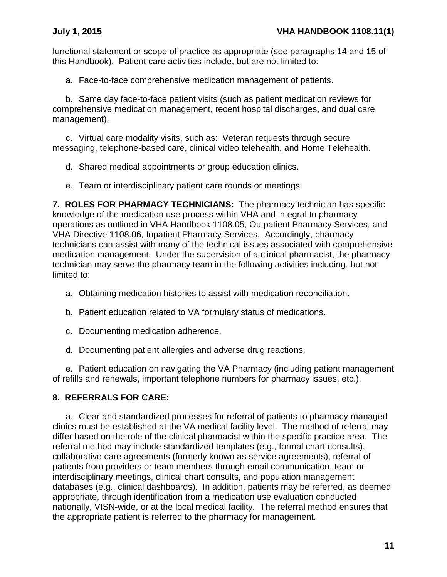functional statement or scope of practice as appropriate (see paragraphs 14 and 15 of this Handbook). Patient care activities include, but are not limited to:

a. Face-to-face comprehensive medication management of patients.

b. Same day face-to-face patient visits (such as patient medication reviews for comprehensive medication management, recent hospital discharges, and dual care management).

c. Virtual care modality visits, such as: Veteran requests through secure messaging, telephone-based care, clinical video telehealth, and Home Telehealth.

- d. Shared medical appointments or group education clinics.
- e. Team or interdisciplinary patient care rounds or meetings.

<span id="page-14-0"></span>**7. ROLES FOR PHARMACY TECHNICIANS:** The pharmacy technician has specific knowledge of the medication use process within VHA and integral to pharmacy operations as outlined in VHA Handbook 1108.05, Outpatient Pharmacy Services, and VHA Directive 1108.06, Inpatient Pharmacy Services. Accordingly, pharmacy technicians can assist with many of the technical issues associated with comprehensive medication management. Under the supervision of a clinical pharmacist, the pharmacy technician may serve the pharmacy team in the following activities including, but not limited to:

- a. Obtaining medication histories to assist with medication reconciliation.
- b. Patient education related to VA formulary status of medications.
- c. Documenting medication adherence.
- d. Documenting patient allergies and adverse drug reactions.

e. Patient education on navigating the VA Pharmacy (including patient management of refills and renewals, important telephone numbers for pharmacy issues, etc.).

## <span id="page-14-1"></span>**8. REFERRALS FOR CARE:**

a. Clear and standardized processes for referral of patients to pharmacy-managed clinics must be established at the VA medical facility level. The method of referral may differ based on the role of the clinical pharmacist within the specific practice area. The referral method may include standardized templates (e.g., formal chart consults), collaborative care agreements (formerly known as service agreements), referral of patients from providers or team members through email communication, team or interdisciplinary meetings, clinical chart consults, and population management databases (e.g., clinical dashboards). In addition, patients may be referred, as deemed appropriate, through identification from a medication use evaluation conducted nationally, VISN-wide, or at the local medical facility. The referral method ensures that the appropriate patient is referred to the pharmacy for management.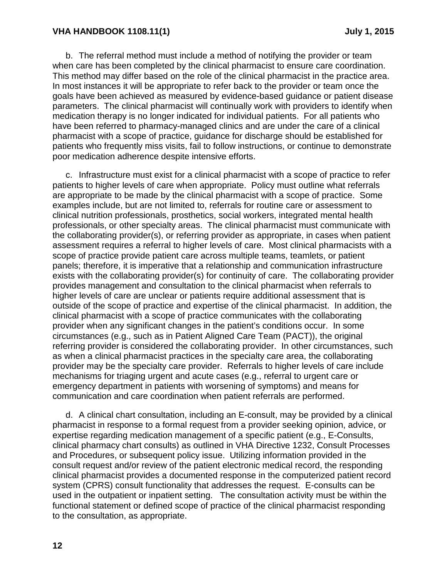#### **VHA HANDBOOK 1108.11(1) July 1, 2015**

b. The referral method must include a method of notifying the provider or team when care has been completed by the clinical pharmacist to ensure care coordination. This method may differ based on the role of the clinical pharmacist in the practice area. In most instances it will be appropriate to refer back to the provider or team once the goals have been achieved as measured by evidence-based guidance or patient disease parameters. The clinical pharmacist will continually work with providers to identify when medication therapy is no longer indicated for individual patients. For all patients who have been referred to pharmacy-managed clinics and are under the care of a clinical pharmacist with a scope of practice, guidance for discharge should be established for patients who frequently miss visits, fail to follow instructions, or continue to demonstrate poor medication adherence despite intensive efforts.

c. Infrastructure must exist for a clinical pharmacist with a scope of practice to refer patients to higher levels of care when appropriate. Policy must outline what referrals are appropriate to be made by the clinical pharmacist with a scope of practice. Some examples include, but are not limited to, referrals for routine care or assessment to clinical nutrition professionals, prosthetics, social workers, integrated mental health professionals, or other specialty areas. The clinical pharmacist must communicate with the collaborating provider(s), or referring provider as appropriate, in cases when patient assessment requires a referral to higher levels of care. Most clinical pharmacists with a scope of practice provide patient care across multiple teams, teamlets, or patient panels; therefore, it is imperative that a relationship and communication infrastructure exists with the collaborating provider(s) for continuity of care. The collaborating provider provides management and consultation to the clinical pharmacist when referrals to higher levels of care are unclear or patients require additional assessment that is outside of the scope of practice and expertise of the clinical pharmacist. In addition, the clinical pharmacist with a scope of practice communicates with the collaborating provider when any significant changes in the patient's conditions occur. In some circumstances (e.g., such as in Patient Aligned Care Team (PACT)), the original referring provider is considered the collaborating provider. In other circumstances, such as when a clinical pharmacist practices in the specialty care area, the collaborating provider may be the specialty care provider. Referrals to higher levels of care include mechanisms for triaging urgent and acute cases (e.g., referral to urgent care or emergency department in patients with worsening of symptoms) and means for communication and care coordination when patient referrals are performed.

d. A clinical chart consultation, including an E-consult, may be provided by a clinical pharmacist in response to a formal request from a provider seeking opinion, advice, or expertise regarding medication management of a specific patient (e.g., E-Consults, clinical pharmacy chart consults) as outlined in VHA Directive 1232, Consult Processes and Procedures, or subsequent policy issue. Utilizing information provided in the consult request and/or review of the patient electronic medical record, the responding clinical pharmacist provides a documented response in the computerized patient record system (CPRS) consult functionality that addresses the request. E-consults can be used in the outpatient or inpatient setting. The consultation activity must be within the functional statement or defined scope of practice of the clinical pharmacist responding to the consultation, as appropriate.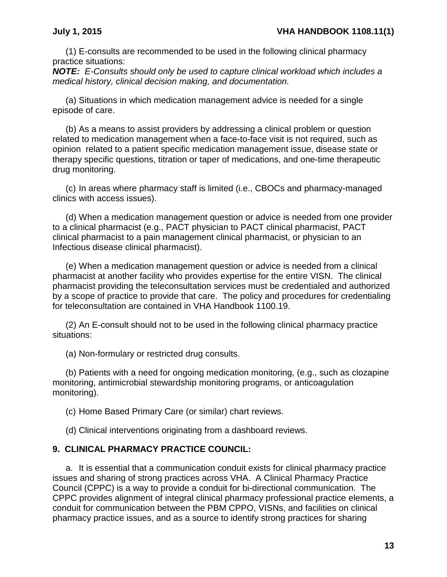(1) E-consults are recommended to be used in the following clinical pharmacy practice situations:

*NOTE: E-Consults should only be used to capture clinical workload which includes a medical history, clinical decision making, and documentation.* 

(a) Situations in which medication management advice is needed for a single episode of care.

(b) As a means to assist providers by addressing a clinical problem or question related to medication management when a face-to-face visit is not required, such as opinion related to a patient specific medication management issue, disease state or therapy specific questions, titration or taper of medications, and one-time therapeutic drug monitoring.

(c) In areas where pharmacy staff is limited (i.e., CBOCs and pharmacy-managed clinics with access issues).

(d) When a medication management question or advice is needed from one provider to a clinical pharmacist (e.g., PACT physician to PACT clinical pharmacist, PACT clinical pharmacist to a pain management clinical pharmacist, or physician to an Infectious disease clinical pharmacist).

(e) When a medication management question or advice is needed from a clinical pharmacist at another facility who provides expertise for the entire VISN. The clinical pharmacist providing the teleconsultation services must be credentialed and authorized by a scope of practice to provide that care. The policy and procedures for credentialing for teleconsultation are contained in VHA Handbook 1100.19.

(2) An E-consult should not to be used in the following clinical pharmacy practice situations:

(a) Non-formulary or restricted drug consults.

(b) Patients with a need for ongoing medication monitoring, (e.g., such as clozapine monitoring, antimicrobial stewardship monitoring programs, or anticoagulation monitoring).

(c) Home Based Primary Care (or similar) chart reviews.

(d) Clinical interventions originating from a dashboard reviews.

### <span id="page-16-0"></span>**9. CLINICAL PHARMACY PRACTICE COUNCIL:**

a. It is essential that a communication conduit exists for clinical pharmacy practice issues and sharing of strong practices across VHA. A Clinical Pharmacy Practice Council (CPPC) is a way to provide a conduit for bi-directional communication. The CPPC provides alignment of integral clinical pharmacy professional practice elements, a conduit for communication between the PBM CPPO, VISNs, and facilities on clinical pharmacy practice issues, and as a source to identify strong practices for sharing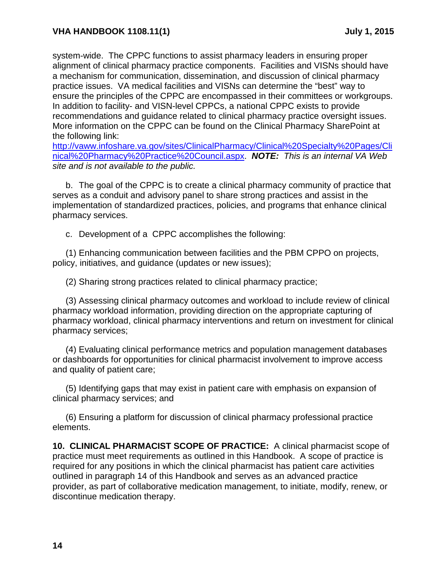system-wide. The CPPC functions to assist pharmacy leaders in ensuring proper alignment of clinical pharmacy practice components. Facilities and VISNs should have a mechanism for communication, dissemination, and discussion of clinical pharmacy practice issues. VA medical facilities and VISNs can determine the "best" way to ensure the principles of the CPPC are encompassed in their committees or workgroups. In addition to facility- and VISN-level CPPCs, a national CPPC exists to provide recommendations and guidance related to clinical pharmacy practice oversight issues. More information on the CPPC can be found on the Clinical Pharmacy SharePoint at the following link:

[http://vaww.infoshare.va.gov/sites/ClinicalPharmacy/Clinical%20Specialty%20Pages/Cli](http://vaww.infoshare.va.gov/sites/ClinicalPharmacy/Clinical%20Specialty%20Pages/Clinical%20Pharmacy%20Practice%20Council.aspx) [nical%20Pharmacy%20Practice%20Council.aspx.](http://vaww.infoshare.va.gov/sites/ClinicalPharmacy/Clinical%20Specialty%20Pages/Clinical%20Pharmacy%20Practice%20Council.aspx) *NOTE: This is an internal VA Web site and is not available to the public.* 

b. The goal of the CPPC is to create a clinical pharmacy community of practice that serves as a conduit and advisory panel to share strong practices and assist in the implementation of standardized practices, policies, and programs that enhance clinical pharmacy services.

c. Development of a CPPC accomplishes the following:

(1) Enhancing communication between facilities and the PBM CPPO on projects, policy, initiatives, and guidance (updates or new issues);

(2) Sharing strong practices related to clinical pharmacy practice;

(3) Assessing clinical pharmacy outcomes and workload to include review of clinical pharmacy workload information, providing direction on the appropriate capturing of pharmacy workload, clinical pharmacy interventions and return on investment for clinical pharmacy services;

(4) Evaluating clinical performance metrics and population management databases or dashboards for opportunities for clinical pharmacist involvement to improve access and quality of patient care;

(5) Identifying gaps that may exist in patient care with emphasis on expansion of clinical pharmacy services; and

(6) Ensuring a platform for discussion of clinical pharmacy professional practice elements.

<span id="page-17-0"></span>**10. CLINICAL PHARMACIST SCOPE OF PRACTICE:** A clinical pharmacist scope of practice must meet requirements as outlined in this Handbook. A scope of practice is required for any positions in which the clinical pharmacist has patient care activities outlined in paragraph 14 of this Handbook and serves as an advanced practice provider, as part of collaborative medication management, to initiate, modify, renew, or discontinue medication therapy.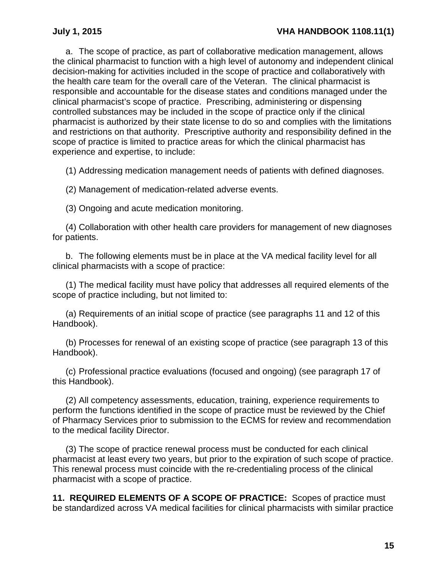a. The scope of practice, as part of collaborative medication management, allows the clinical pharmacist to function with a high level of autonomy and independent clinical decision-making for activities included in the scope of practice and collaboratively with the health care team for the overall care of the Veteran. The clinical pharmacist is responsible and accountable for the disease states and conditions managed under the clinical pharmacist's scope of practice. Prescribing, administering or dispensing controlled substances may be included in the scope of practice only if the clinical pharmacist is authorized by their state license to do so and complies with the limitations and restrictions on that authority. Prescriptive authority and responsibility defined in the scope of practice is limited to practice areas for which the clinical pharmacist has experience and expertise, to include:

(1) Addressing medication management needs of patients with defined diagnoses.

(2) Management of medication-related adverse events.

(3) Ongoing and acute medication monitoring.

(4) Collaboration with other health care providers for management of new diagnoses for patients.

b. The following elements must be in place at the VA medical facility level for all clinical pharmacists with a scope of practice:

(1) The medical facility must have policy that addresses all required elements of the scope of practice including, but not limited to:

(a) Requirements of an initial scope of practice (see paragraphs 11 and 12 of this Handbook).

(b) Processes for renewal of an existing scope of practice (see paragraph 13 of this Handbook).

(c) Professional practice evaluations (focused and ongoing) (see paragraph 17 of this Handbook).

(2) All competency assessments, education, training, experience requirements to perform the functions identified in the scope of practice must be reviewed by the Chief of Pharmacy Services prior to submission to the ECMS for review and recommendation to the medical facility Director.

(3) The scope of practice renewal process must be conducted for each clinical pharmacist at least every two years, but prior to the expiration of such scope of practice. This renewal process must coincide with the re-credentialing process of the clinical pharmacist with a scope of practice.

<span id="page-18-0"></span>**11. REQUIRED ELEMENTS OF A SCOPE OF PRACTICE:** Scopes of practice must be standardized across VA medical facilities for clinical pharmacists with similar practice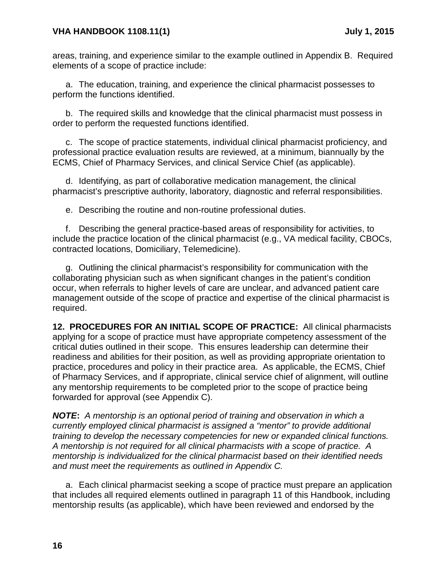### **VHA HANDBOOK 1108.11(1) July 1, 2015**

areas, training, and experience similar to the example outlined in Appendix B. Required elements of a scope of practice include:

a. The education, training, and experience the clinical pharmacist possesses to perform the functions identified.

b. The required skills and knowledge that the clinical pharmacist must possess in order to perform the requested functions identified.

c. The scope of practice statements, individual clinical pharmacist proficiency, and professional practice evaluation results are reviewed, at a minimum, biannually by the ECMS, Chief of Pharmacy Services, and clinical Service Chief (as applicable).

d. Identifying, as part of collaborative medication management, the clinical pharmacist's prescriptive authority, laboratory, diagnostic and referral responsibilities.

e. Describing the routine and non-routine professional duties.

f. Describing the general practice-based areas of responsibility for activities, to include the practice location of the clinical pharmacist (e.g., VA medical facility, CBOCs, contracted locations, Domiciliary, Telemedicine).

g. Outlining the clinical pharmacist's responsibility for communication with the collaborating physician such as when significant changes in the patient's condition occur, when referrals to higher levels of care are unclear, and advanced patient care management outside of the scope of practice and expertise of the clinical pharmacist is required.

<span id="page-19-0"></span>**12. PROCEDURES FOR AN INITIAL SCOPE OF PRACTICE:** All clinical pharmacists applying for a scope of practice must have appropriate competency assessment of the critical duties outlined in their scope. This ensures leadership can determine their readiness and abilities for their position, as well as providing appropriate orientation to practice, procedures and policy in their practice area. As applicable, the ECMS, Chief of Pharmacy Services, and if appropriate, clinical service chief of alignment, will outline any mentorship requirements to be completed prior to the scope of practice being forwarded for approval (see Appendix C).

*NOTE***:** *A mentorship is an optional period of training and observation in which a currently employed clinical pharmacist is assigned a "mentor" to provide additional training to develop the necessary competencies for new or expanded clinical functions. A mentorship is not required for all clinical pharmacists with a scope of practice. A mentorship is individualized for the clinical pharmacist based on their identified needs and must meet the requirements as outlined in Appendix C.*

a. Each clinical pharmacist seeking a scope of practice must prepare an application that includes all required elements outlined in paragraph 11 of this Handbook, including mentorship results (as applicable), which have been reviewed and endorsed by the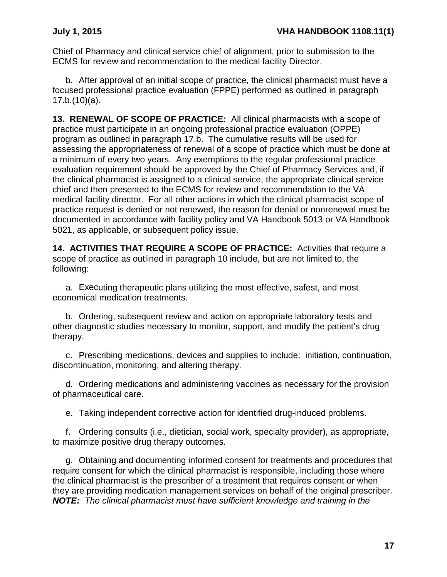Chief of Pharmacy and clinical service chief of alignment, prior to submission to the ECMS for review and recommendation to the medical facility Director.

b. After approval of an initial scope of practice, the clinical pharmacist must have a focused professional practice evaluation (FPPE) performed as outlined in paragraph 17.b.(10)(a).

<span id="page-20-0"></span>**13. RENEWAL OF SCOPE OF PRACTICE:** All clinical pharmacists with a scope of practice must participate in an ongoing professional practice evaluation (OPPE) program as outlined in paragraph 17.b. The cumulative results will be used for assessing the appropriateness of renewal of a scope of practice which must be done at a minimum of every two years. Any exemptions to the regular professional practice evaluation requirement should be approved by the Chief of Pharmacy Services and, if the clinical pharmacist is assigned to a clinical service, the appropriate clinical service chief and then presented to the ECMS for review and recommendation to the VA medical facility director. For all other actions in which the clinical pharmacist scope of practice request is denied or not renewed, the reason for denial or nonrenewal must be documented in accordance with facility policy and VA Handbook 5013 or VA Handbook 5021, as applicable, or subsequent policy issue.

<span id="page-20-1"></span>**14. ACTIVITIES THAT REQUIRE A SCOPE OF PRACTICE:** Activities that require a scope of practice as outlined in paragraph 10 include, but are not limited to, the following:

a. Executing therapeutic plans utilizing the most effective, safest, and most economical medication treatments.

b. Ordering, subsequent review and action on appropriate laboratory tests and other diagnostic studies necessary to monitor, support, and modify the patient's drug therapy.

c. Prescribing medications, devices and supplies to include: initiation, continuation, discontinuation, monitoring, and altering therapy.

d. Ordering medications and administering vaccines as necessary for the provision of pharmaceutical care.

e. Taking independent corrective action for identified drug-induced problems.

f. Ordering consults (i.e., dietician, social work, specialty provider), as appropriate, to maximize positive drug therapy outcomes.

g. Obtaining and documenting informed consent for treatments and procedures that require consent for which the clinical pharmacist is responsible, including those where the clinical pharmacist is the prescriber of a treatment that requires consent or when they are providing medication management services on behalf of the original prescriber. *NOTE: The clinical pharmacist must have sufficient knowledge and training in the*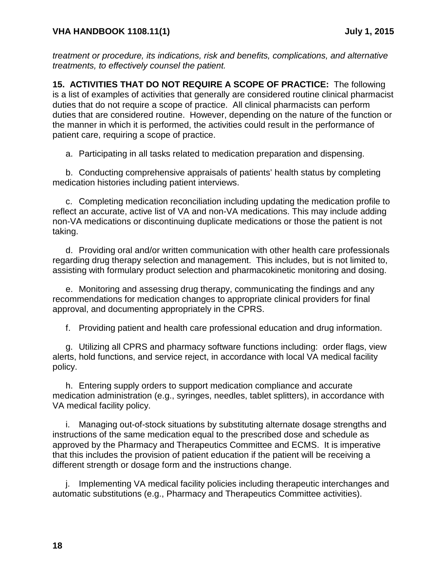*treatment or procedure, its indications, risk and benefits, complications, and alternative treatments, to effectively counsel the patient.*

<span id="page-21-0"></span>**15. ACTIVITIES THAT DO NOT REQUIRE A SCOPE OF PRACTICE:** The following is a list of examples of activities that generally are considered routine clinical pharmacist duties that do not require a scope of practice. All clinical pharmacists can perform duties that are considered routine. However, depending on the nature of the function or the manner in which it is performed, the activities could result in the performance of patient care, requiring a scope of practice.

a. Participating in all tasks related to medication preparation and dispensing.

b. Conducting comprehensive appraisals of patients' health status by completing medication histories including patient interviews.

c. Completing medication reconciliation including updating the medication profile to reflect an accurate, active list of VA and non-VA medications. This may include adding non-VA medications or discontinuing duplicate medications or those the patient is not taking.

d. Providing oral and/or written communication with other health care professionals regarding drug therapy selection and management. This includes, but is not limited to, assisting with formulary product selection and pharmacokinetic monitoring and dosing.

e. Monitoring and assessing drug therapy, communicating the findings and any recommendations for medication changes to appropriate clinical providers for final approval, and documenting appropriately in the CPRS.

f. Providing patient and health care professional education and drug information.

g. Utilizing all CPRS and pharmacy software functions including: order flags, view alerts, hold functions, and service reject, in accordance with local VA medical facility policy.

h. Entering supply orders to support medication compliance and accurate medication administration (e.g., syringes, needles, tablet splitters), in accordance with VA medical facility policy.

i. Managing out-of-stock situations by substituting alternate dosage strengths and instructions of the same medication equal to the prescribed dose and schedule as approved by the Pharmacy and Therapeutics Committee and ECMS. It is imperative that this includes the provision of patient education if the patient will be receiving a different strength or dosage form and the instructions change.

j. Implementing VA medical facility policies including therapeutic interchanges and automatic substitutions (e.g., Pharmacy and Therapeutics Committee activities).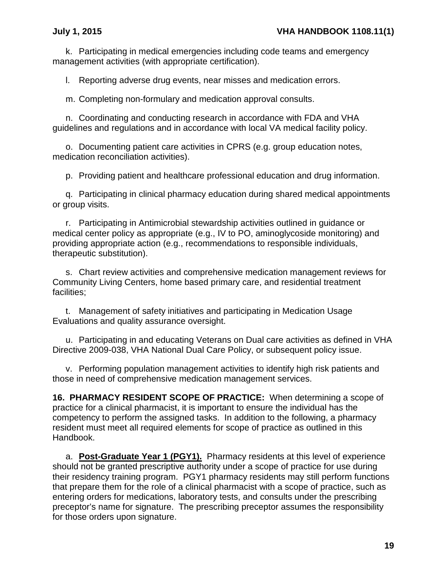k. Participating in medical emergencies including code teams and emergency management activities (with appropriate certification).

l. Reporting adverse drug events, near misses and medication errors.

m. Completing non-formulary and medication approval consults.

n. Coordinating and conducting research in accordance with FDA and VHA guidelines and regulations and in accordance with local VA medical facility policy.

o. Documenting patient care activities in CPRS (e.g. group education notes, medication reconciliation activities).

p. Providing patient and healthcare professional education and drug information.

q. Participating in clinical pharmacy education during shared medical appointments or group visits.

r. Participating in Antimicrobial stewardship activities outlined in guidance or medical center policy as appropriate (e.g., IV to PO, aminoglycoside monitoring) and providing appropriate action (e.g., recommendations to responsible individuals, therapeutic substitution).

s. Chart review activities and comprehensive medication management reviews for Community Living Centers, home based primary care, and residential treatment facilities;

t. Management of safety initiatives and participating in Medication Usage Evaluations and quality assurance oversight.

u. Participating in and educating Veterans on Dual care activities as defined in VHA Directive 2009-038, VHA National Dual Care Policy, or subsequent policy issue.

v. Performing population management activities to identify high risk patients and those in need of comprehensive medication management services.

<span id="page-22-0"></span>**16. PHARMACY RESIDENT SCOPE OF PRACTICE:** When determining a scope of practice for a clinical pharmacist, it is important to ensure the individual has the competency to perform the assigned tasks. In addition to the following, a pharmacy resident must meet all required elements for scope of practice as outlined in this Handbook.

a. **Post-Graduate Year 1 (PGY1).** Pharmacy residents at this level of experience should not be granted prescriptive authority under a scope of practice for use during their residency training program. PGY1 pharmacy residents may still perform functions that prepare them for the role of a clinical pharmacist with a scope of practice, such as entering orders for medications, laboratory tests, and consults under the prescribing preceptor's name for signature. The prescribing preceptor assumes the responsibility for those orders upon signature.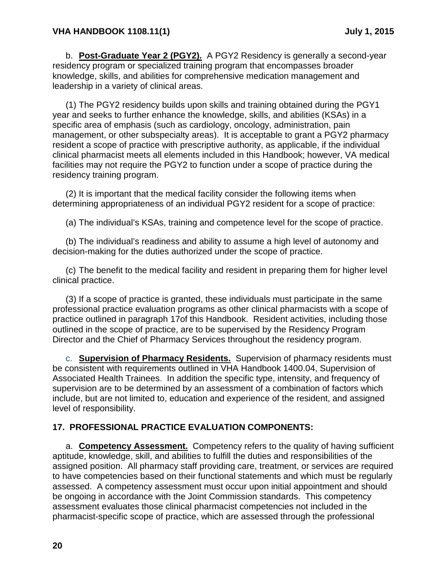b. **Post-Graduate Year 2 (PGY2).** A PGY2 Residency is generally a second-year residency program or specialized training program that encompasses broader knowledge, skills, and abilities for comprehensive medication management and leadership in a variety of clinical areas.

(1) The PGY2 residency builds upon skills and training obtained during the PGY1 year and seeks to further enhance the knowledge, skills, and abilities (KSAs) in a specific area of emphasis (such as cardiology, oncology, administration, pain management, or other subspecialty areas). It is acceptable to grant a PGY2 pharmacy resident a scope of practice with prescriptive authority, as applicable, if the individual clinical pharmacist meets all elements included in this Handbook; however, VA medical facilities may not require the PGY2 to function under a scope of practice during the residency training program.

(2) It is important that the medical facility consider the following items when determining appropriateness of an individual PGY2 resident for a scope of practice:

(a) The individual's KSAs, training and competence level for the scope of practice.

(b) The individual's readiness and ability to assume a high level of autonomy and decision-making for the duties authorized under the scope of practice.

(c) The benefit to the medical facility and resident in preparing them for higher level clinical practice.

(3) If a scope of practice is granted, these individuals must participate in the same professional practice evaluation programs as other clinical pharmacists with a scope of practice outlined in paragraph 17of this Handbook. Resident activities, including those outlined in the scope of practice, are to be supervised by the Residency Program Director and the Chief of Pharmacy Services throughout the residency program.

c. **Supervision of Pharmacy Residents.** Supervision of pharmacy residents must be consistent with requirements outlined in VHA Handbook 1400.04, Supervision of Associated Health Trainees. In addition the specific type, intensity, and frequency of supervision are to be determined by an assessment of a combination of factors which include, but are not limited to, education and experience of the resident, and assigned level of responsibility.

## <span id="page-23-0"></span>**17. PROFESSIONAL PRACTICE EVALUATION COMPONENTS:**

a. **Competency Assessment.** Competency refers to the quality of having sufficient aptitude, knowledge, skill, and abilities to fulfill the duties and responsibilities of the assigned position. All pharmacy staff providing care, treatment, or services are required to have competencies based on their functional statements and which must be regularly assessed. A competency assessment must occur upon initial appointment and should be ongoing in accordance with the Joint Commission standards. This competency assessment evaluates those clinical pharmacist competencies not included in the pharmacist-specific scope of practice, which are assessed through the professional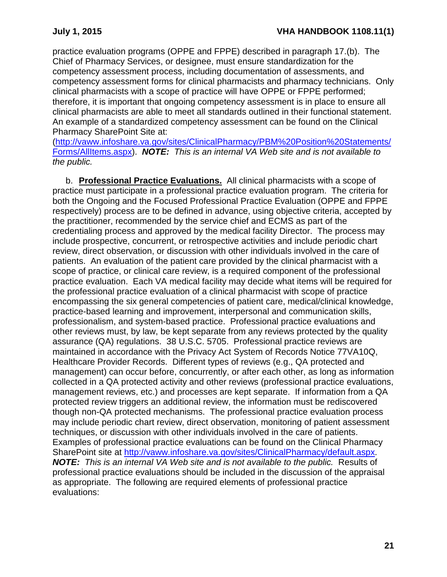practice evaluation programs (OPPE and FPPE) described in paragraph 17.(b). The Chief of Pharmacy Services, or designee, must ensure standardization for the competency assessment process, including documentation of assessments, and competency assessment forms for clinical pharmacists and pharmacy technicians. Only clinical pharmacists with a scope of practice will have OPPE or FPPE performed; therefore, it is important that ongoing competency assessment is in place to ensure all clinical pharmacists are able to meet all standards outlined in their functional statement. An example of a standardized competency assessment can be found on the Clinical Pharmacy SharePoint Site at:

[\(http://vaww.infoshare.va.gov/sites/ClinicalPharmacy/PBM%20Position%20Statements/](http://vaww.infoshare.va.gov/sites/ClinicalPharmacy/PBM%20Position%20Statements/Forms/AllItems.aspx) [Forms/AllItems.aspx\)](http://vaww.infoshare.va.gov/sites/ClinicalPharmacy/PBM%20Position%20Statements/Forms/AllItems.aspx). *NOTE: This is an internal VA Web site and is not available to the public.*

b. **Professional Practice Evaluations.** All clinical pharmacists with a scope of practice must participate in a professional practice evaluation program. The criteria for both the Ongoing and the Focused Professional Practice Evaluation (OPPE and FPPE respectively) process are to be defined in advance, using objective criteria, accepted by the practitioner, recommended by the service chief and ECMS as part of the credentialing process and approved by the medical facility Director. The process may include prospective, concurrent, or retrospective activities and include periodic chart review, direct observation, or discussion with other individuals involved in the care of patients. An evaluation of the patient care provided by the clinical pharmacist with a scope of practice, or clinical care review, is a required component of the professional practice evaluation. Each VA medical facility may decide what items will be required for the professional practice evaluation of a clinical pharmacist with scope of practice encompassing the six general competencies of patient care, medical/clinical knowledge, practice-based learning and improvement, interpersonal and communication skills, professionalism, and system-based practice. Professional practice evaluations and other reviews must, by law, be kept separate from any reviews protected by the quality assurance (QA) regulations. 38 U.S.C. 5705. Professional practice reviews are maintained in accordance with the Privacy Act System of Records Notice 77VA10Q, Healthcare Provider Records. Different types of reviews (e.g., QA protected and management) can occur before, concurrently, or after each other, as long as information collected in a QA protected activity and other reviews (professional practice evaluations, management reviews, etc.) and processes are kept separate. If information from a QA protected review triggers an additional review, the information must be rediscovered though non-QA protected mechanisms. The professional practice evaluation process may include periodic chart review, direct observation, monitoring of patient assessment techniques, or discussion with other individuals involved in the care of patients. Examples of professional practice evaluations can be found on the Clinical Pharmacy SharePoint site at [http://vaww.infoshare.va.gov/sites/ClinicalPharmacy/default.aspx.](http://vaww.infoshare.va.gov/sites/ClinicalPharmacy/default.aspx) *NOTE: This is an internal VA Web site and is not available to the public.* Results of professional practice evaluations should be included in the discussion of the appraisal as appropriate. The following are required elements of professional practice evaluations: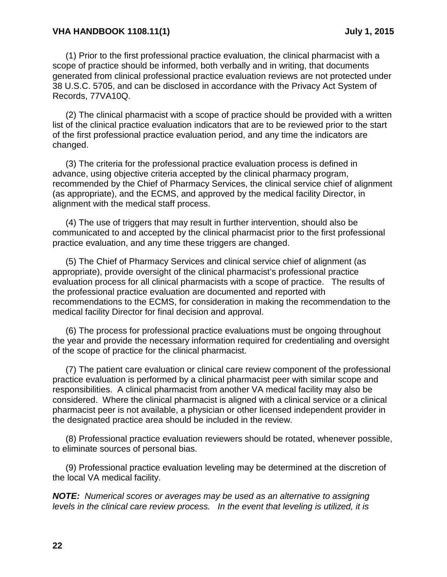#### **VHA HANDBOOK 1108.11(1) July 1, 2015**

(1) Prior to the first professional practice evaluation, the clinical pharmacist with a scope of practice should be informed, both verbally and in writing, that documents generated from clinical professional practice evaluation reviews are not protected under 38 U.S.C. 5705, and can be disclosed in accordance with the Privacy Act System of Records, 77VA10Q.

(2) The clinical pharmacist with a scope of practice should be provided with a written list of the clinical practice evaluation indicators that are to be reviewed prior to the start of the first professional practice evaluation period, and any time the indicators are changed.

(3) The criteria for the professional practice evaluation process is defined in advance, using objective criteria accepted by the clinical pharmacy program, recommended by the Chief of Pharmacy Services, the clinical service chief of alignment (as appropriate), and the ECMS, and approved by the medical facility Director, in alignment with the medical staff process.

(4) The use of triggers that may result in further intervention, should also be communicated to and accepted by the clinical pharmacist prior to the first professional practice evaluation, and any time these triggers are changed.

(5) The Chief of Pharmacy Services and clinical service chief of alignment (as appropriate), provide oversight of the clinical pharmacist's professional practice evaluation process for all clinical pharmacists with a scope of practice. The results of the professional practice evaluation are documented and reported with recommendations to the ECMS, for consideration in making the recommendation to the medical facility Director for final decision and approval.

(6) The process for professional practice evaluations must be ongoing throughout the year and provide the necessary information required for credentialing and oversight of the scope of practice for the clinical pharmacist.

(7) The patient care evaluation or clinical care review component of the professional practice evaluation is performed by a clinical pharmacist peer with similar scope and responsibilities. A clinical pharmacist from another VA medical facility may also be considered. Where the clinical pharmacist is aligned with a clinical service or a clinical pharmacist peer is not available, a physician or other licensed independent provider in the designated practice area should be included in the review.

(8) Professional practice evaluation reviewers should be rotated, whenever possible, to eliminate sources of personal bias.

(9) Professional practice evaluation leveling may be determined at the discretion of the local VA medical facility.

*NOTE: Numerical scores or averages may be used as an alternative to assigning levels in the clinical care review process. In the event that leveling is utilized, it is*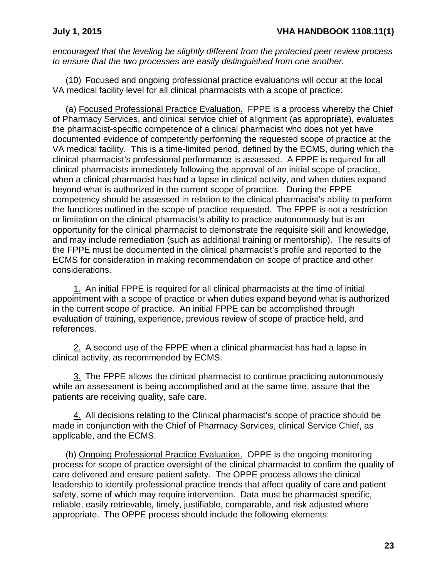*encouraged that the leveling be slightly different from the protected peer review process to ensure that the two processes are easily distinguished from one another.* 

(10) Focused and ongoing professional practice evaluations will occur at the local VA medical facility level for all clinical pharmacists with a scope of practice:

(a) Focused Professional Practice Evaluation. FPPE is a process whereby the Chief of Pharmacy Services, and clinical service chief of alignment (as appropriate), evaluates the pharmacist-specific competence of a clinical pharmacist who does not yet have documented evidence of competently performing the requested scope of practice at the VA medical facility. This is a time-limited period, defined by the ECMS, during which the clinical pharmacist's professional performance is assessed. A FPPE is required for all clinical pharmacists immediately following the approval of an initial scope of practice, when a clinical pharmacist has had a lapse in clinical activity, and when duties expand beyond what is authorized in the current scope of practice. During the FPPE competency should be assessed in relation to the clinical pharmacist's ability to perform the functions outlined in the scope of practice requested. The FPPE is not a restriction or limitation on the clinical pharmacist's ability to practice autonomously but is an opportunity for the clinical pharmacist to demonstrate the requisite skill and knowledge, and may include remediation (such as additional training or mentorship). The results of the FPPE must be documented in the clinical pharmacist's profile and reported to the ECMS for consideration in making recommendation on scope of practice and other considerations.

1. An initial FPPE is required for all clinical pharmacists at the time of initial appointment with a scope of practice or when duties expand beyond what is authorized in the current scope of practice. An initial FPPE can be accomplished through evaluation of training, experience, previous review of scope of practice held, and references.

2. A second use of the FPPE when a clinical pharmacist has had a lapse in clinical activity, as recommended by ECMS.

3. The FPPE allows the clinical pharmacist to continue practicing autonomously while an assessment is being accomplished and at the same time, assure that the patients are receiving quality, safe care.

4. All decisions relating to the Clinical pharmacist's scope of practice should be made in conjunction with the Chief of Pharmacy Services, clinical Service Chief, as applicable, and the ECMS.

(b) Ongoing Professional Practice Evaluation. OPPE is the ongoing monitoring process for scope of practice oversight of the clinical pharmacist to confirm the quality of care delivered and ensure patient safety. The OPPE process allows the clinical leadership to identify professional practice trends that affect quality of care and patient safety, some of which may require intervention. Data must be pharmacist specific, reliable, easily retrievable, timely, justifiable, comparable, and risk adjusted where appropriate. The OPPE process should include the following elements: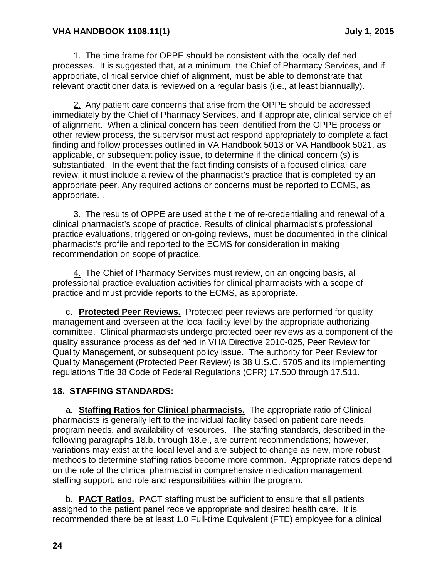### **VHA HANDBOOK 1108.11(1) July 1, 2015**

1. The time frame for OPPE should be consistent with the locally defined processes. It is suggested that, at a minimum, the Chief of Pharmacy Services, and if appropriate, clinical service chief of alignment, must be able to demonstrate that relevant practitioner data is reviewed on a regular basis (i.e., at least biannually).

2. Any patient care concerns that arise from the OPPE should be addressed immediately by the Chief of Pharmacy Services, and if appropriate, clinical service chief of alignment. When a clinical concern has been identified from the OPPE process or other review process, the supervisor must act respond appropriately to complete a fact finding and follow processes outlined in VA Handbook 5013 or VA Handbook 5021, as applicable, or subsequent policy issue, to determine if the clinical concern (s) is substantiated. In the event that the fact finding consists of a focused clinical care review, it must include a review of the pharmacist's practice that is completed by an appropriate peer. Any required actions or concerns must be reported to ECMS, as appropriate. .

3. The results of OPPE are used at the time of re-credentialing and renewal of a clinical pharmacist's scope of practice. Results of clinical pharmacist's professional practice evaluations, triggered or on-going reviews, must be documented in the clinical pharmacist's profile and reported to the ECMS for consideration in making recommendation on scope of practice.

4. The Chief of Pharmacy Services must review, on an ongoing basis, all professional practice evaluation activities for clinical pharmacists with a scope of practice and must provide reports to the ECMS, as appropriate.

c. **Protected Peer Reviews.** Protected peer reviews are performed for quality management and overseen at the local facility level by the appropriate authorizing committee. Clinical pharmacists undergo protected peer reviews as a component of the quality assurance process as defined in VHA Directive 2010-025, Peer Review for Quality Management, or subsequent policy issue. The authority for Peer Review for Quality Management (Protected Peer Review) is 38 U.S.C. 5705 and its implementing regulations Title 38 Code of Federal Regulations (CFR) 17.500 through 17.511.

### <span id="page-27-0"></span>**18. STAFFING STANDARDS:**

a. **Staffing Ratios for Clinical pharmacists.** The appropriate ratio of Clinical pharmacists is generally left to the individual facility based on patient care needs, program needs, and availability of resources. The staffing standards, described in the following paragraphs 18.b. through 18.e., are current recommendations; however, variations may exist at the local level and are subject to change as new, more robust methods to determine staffing ratios become more common. Appropriate ratios depend on the role of the clinical pharmacist in comprehensive medication management, staffing support, and role and responsibilities within the program.

b. **PACT Ratios.** PACT staffing must be sufficient to ensure that all patients assigned to the patient panel receive appropriate and desired health care. It is recommended there be at least 1.0 Full-time Equivalent (FTE) employee for a clinical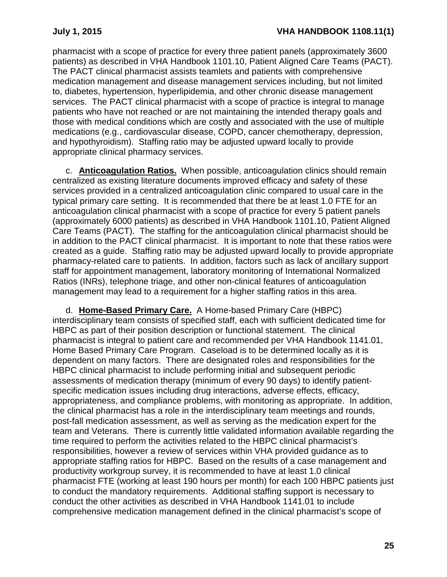pharmacist with a scope of practice for every three patient panels (approximately 3600 patients) as described in VHA Handbook 1101.10, Patient Aligned Care Teams (PACT). The PACT clinical pharmacist assists teamlets and patients with comprehensive medication management and disease management services including, but not limited to, diabetes, hypertension, hyperlipidemia, and other chronic disease management services. The PACT clinical pharmacist with a scope of practice is integral to manage patients who have not reached or are not maintaining the intended therapy goals and those with medical conditions which are costly and associated with the use of multiple medications (e.g., cardiovascular disease, COPD, cancer chemotherapy, depression, and hypothyroidism). Staffing ratio may be adjusted upward locally to provide appropriate clinical pharmacy services.

c. **Anticoagulation Ratios.** When possible, anticoagulation clinics should remain centralized as existing literature documents improved efficacy and safety of these services provided in a centralized anticoagulation clinic compared to usual care in the typical primary care setting. It is recommended that there be at least 1.0 FTE for an anticoagulation clinical pharmacist with a scope of practice for every 5 patient panels (approximately 6000 patients) as described in VHA Handbook 1101.10, Patient Aligned Care Teams (PACT). The staffing for the anticoagulation clinical pharmacist should be in addition to the PACT clinical pharmacist. It is important to note that these ratios were created as a guide. Staffing ratio may be adjusted upward locally to provide appropriate pharmacy-related care to patients. In addition, factors such as lack of ancillary support staff for appointment management, laboratory monitoring of International Normalized Ratios (INRs), telephone triage, and other non-clinical features of anticoagulation management may lead to a requirement for a higher staffing ratios in this area.

d. **Home-Based Primary Care.** A Home-based Primary Care (HBPC) interdisciplinary team consists of specified staff, each with sufficient dedicated time for HBPC as part of their position description or functional statement. The clinical pharmacist is integral to patient care and recommended per VHA Handbook 1141.01, Home Based Primary Care Program. Caseload is to be determined locally as it is dependent on many factors. There are designated roles and responsibilities for the HBPC clinical pharmacist to include performing initial and subsequent periodic assessments of medication therapy (minimum of every 90 days) to identify patient‐ specific medication issues including drug interactions, adverse effects, efficacy, appropriateness, and compliance problems, with monitoring as appropriate. In addition, the clinical pharmacist has a role in the interdisciplinary team meetings and rounds, post-fall medication assessment, as well as serving as the medication expert for the team and Veterans. There is currently little validated information available regarding the time required to perform the activities related to the HBPC clinical pharmacist's responsibilities, however a review of services within VHA provided guidance as to appropriate staffing ratios for HBPC. Based on the results of a case management and productivity workgroup survey, it is recommended to have at least 1.0 clinical pharmacist FTE (working at least 190 hours per month) for each 100 HBPC patients just to conduct the mandatory requirements. Additional staffing support is necessary to conduct the other activities as described in VHA Handbook 1141.01 to include comprehensive medication management defined in the clinical pharmacist's scope of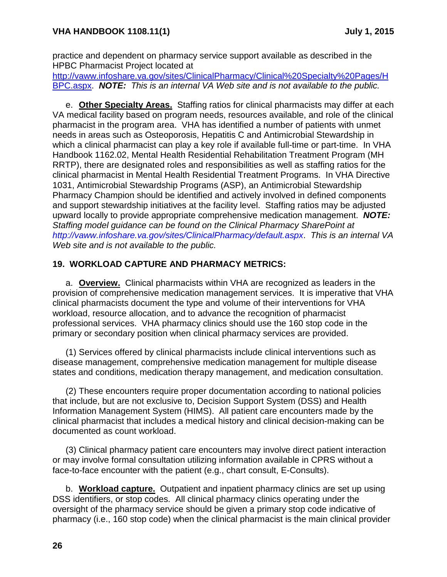practice and dependent on pharmacy service support available as described in the HPBC Pharmacist Project located at

[http://vaww.infoshare.va.gov/sites/ClinicalPharmacy/Clinical%20Specialty%20Pages/H](http://vaww.infoshare.va.gov/sites/ClinicalPharmacy/Clinical%20Specialty%20Pages/HBPC.aspx) [BPC.aspx.](http://vaww.infoshare.va.gov/sites/ClinicalPharmacy/Clinical%20Specialty%20Pages/HBPC.aspx) *NOTE: This is an internal VA Web site and is not available to the public.* 

e. **Other Specialty Areas.** Staffing ratios for clinical pharmacists may differ at each VA medical facility based on program needs, resources available, and role of the clinical pharmacist in the program area. VHA has identified a number of patients with unmet needs in areas such as Osteoporosis, Hepatitis C and Antimicrobial Stewardship in which a clinical pharmacist can play a key role if available full-time or part-time. In VHA Handbook 1162.02, Mental Health Residential Rehabilitation Treatment Program (MH RRTP), there are designated roles and responsibilities as well as staffing ratios for the clinical pharmacist in Mental Health Residential Treatment Programs. In VHA Directive 1031, Antimicrobial Stewardship Programs (ASP), an Antimicrobial Stewardship Pharmacy Champion should be identified and actively involved in defined components and support stewardship initiatives at the facility level. Staffing ratios may be adjusted upward locally to provide appropriate comprehensive medication management. *NOTE: Staffing model guidance can be found on the Clinical Pharmacy SharePoint at <http://vaww.infoshare.va.gov/sites/ClinicalPharmacy/default.aspx>*. *This is an internal VA Web site and is not available to the public.* 

## <span id="page-29-0"></span>**19. WORKLOAD CAPTURE AND PHARMACY METRICS:**

a. **Overview.** Clinical pharmacists within VHA are recognized as leaders in the provision of comprehensive medication management services. It is imperative that VHA clinical pharmacists document the type and volume of their interventions for VHA workload, resource allocation, and to advance the recognition of pharmacist professional services. VHA pharmacy clinics should use the 160 stop code in the primary or secondary position when clinical pharmacy services are provided.

(1) Services offered by clinical pharmacists include clinical interventions such as disease management, comprehensive medication management for multiple disease states and conditions, medication therapy management, and medication consultation.

(2) These encounters require proper documentation according to national policies that include, but are not exclusive to, Decision Support System (DSS) and Health Information Management System (HIMS). All patient care encounters made by the clinical pharmacist that includes a medical history and clinical decision-making can be documented as count workload.

(3) Clinical pharmacy patient care encounters may involve direct patient interaction or may involve formal consultation utilizing information available in CPRS without a face-to-face encounter with the patient (e.g., chart consult, E-Consults).

b. **Workload capture.** Outpatient and inpatient pharmacy clinics are set up using DSS identifiers, or stop codes. All clinical pharmacy clinics operating under the oversight of the pharmacy service should be given a primary stop code indicative of pharmacy (i.e., 160 stop code) when the clinical pharmacist is the main clinical provider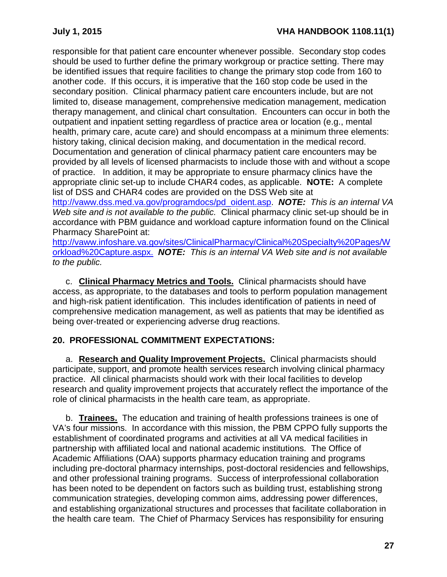responsible for that patient care encounter whenever possible. Secondary stop codes should be used to further define the primary workgroup or practice setting. There may be identified issues that require facilities to change the primary stop code from 160 to another code. If this occurs, it is imperative that the 160 stop code be used in the secondary position.Clinical pharmacy patient care encounters include, but are not limited to, disease management, comprehensive medication management, medication therapy management, and clinical chart consultation. Encounters can occur in both the outpatient and inpatient setting regardless of practice area or location (e.g., mental health, primary care, acute care) and should encompass at a minimum three elements: history taking, clinical decision making, and documentation in the medical record. Documentation and generation of clinical pharmacy patient care encounters may be provided by all levels of licensed pharmacists to include those with and without a scope of practice. In addition, it may be appropriate to ensure pharmacy clinics have the appropriate clinic set-up to include CHAR4 codes, as applicable. **NOTE:** A complete list of DSS and CHAR4 codes are provided on the DSS Web site at [http://vaww.dss.med.va.gov/programdocs/pd\\_oident.asp.](http://vaww.dss.med.va.gov/programdocs/pd_oident.asp) *NOTE: This is an internal VA Web site and is not available to the public.* Clinical pharmacy clinic set-up should be in accordance with PBM guidance and workload capture information found on the Clinical Pharmacy SharePoint at:

[http://vaww.infoshare.va.gov/sites/ClinicalPharmacy/Clinical%20Specialty%20Pages/W](http://vaww.infoshare.va.gov/sites/ClinicalPharmacy/Clinical%20Specialty%20Pages/Workload%20Capture.aspx) [orkload%20Capture.aspx.](http://vaww.infoshare.va.gov/sites/ClinicalPharmacy/Clinical%20Specialty%20Pages/Workload%20Capture.aspx) *NOTE: This is an internal VA Web site and is not available to the public.* 

c. **Clinical Pharmacy Metrics and Tools.** Clinical pharmacists should have access, as appropriate, to the databases and tools to perform population management and high-risk patient identification. This includes identification of patients in need of comprehensive medication management, as well as patients that may be identified as being over-treated or experiencing adverse drug reactions.

## <span id="page-30-0"></span>**20. PROFESSIONAL COMMITMENT EXPECTATIONS:**

a. **Research and Quality Improvement Projects.** Clinical pharmacists should participate, support, and promote health services research involving clinical pharmacy practice. All clinical pharmacists should work with their local facilities to develop research and quality improvement projects that accurately reflect the importance of the role of clinical pharmacists in the health care team, as appropriate.

b. **Trainees.** The education and training of health professions trainees is one of VA's four missions. In accordance with this mission, the PBM CPPO fully supports the establishment of coordinated programs and activities at all VA medical facilities in partnership with affiliated local and national academic institutions. The Office of Academic Affiliations (OAA) supports pharmacy education training and programs including pre-doctoral pharmacy internships, post-doctoral residencies and fellowships, and other professional training programs. Success of interprofessional collaboration has been noted to be dependent on factors such as building trust, establishing strong communication strategies, developing common aims, addressing power differences, and establishing organizational structures and processes that facilitate collaboration in the health care team. The Chief of Pharmacy Services has responsibility for ensuring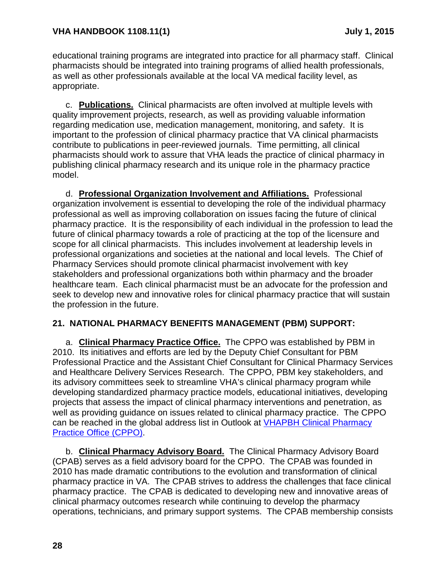educational training programs are integrated into practice for all pharmacy staff. Clinical pharmacists should be integrated into training programs of allied health professionals, as well as other professionals available at the local VA medical facility level, as appropriate.

c. **Publications.** Clinical pharmacists are often involved at multiple levels with quality improvement projects, research, as well as providing valuable information regarding medication use, medication management, monitoring, and safety. It is important to the profession of clinical pharmacy practice that VA clinical pharmacists contribute to publications in peer-reviewed journals. Time permitting, all clinical pharmacists should work to assure that VHA leads the practice of clinical pharmacy in publishing clinical pharmacy research and its unique role in the pharmacy practice model.

d. **Professional Organization Involvement and Affiliations.** Professional organization involvement is essential to developing the role of the individual pharmacy professional as well as improving collaboration on issues facing the future of clinical pharmacy practice. It is the responsibility of each individual in the profession to lead the future of clinical pharmacy towards a role of practicing at the top of the licensure and scope for all clinical pharmacists. This includes involvement at leadership levels in professional organizations and societies at the national and local levels. The Chief of Pharmacy Services should promote clinical pharmacist involvement with key stakeholders and professional organizations both within pharmacy and the broader healthcare team. Each clinical pharmacist must be an advocate for the profession and seek to develop new and innovative roles for clinical pharmacy practice that will sustain the profession in the future.

## <span id="page-31-0"></span>**21. NATIONAL PHARMACY BENEFITS MANAGEMENT (PBM) SUPPORT:**

a. **Clinical Pharmacy Practice Office.** The CPPO was established by PBM in 2010. Its initiatives and efforts are led by the Deputy Chief Consultant for PBM Professional Practice and the Assistant Chief Consultant for Clinical Pharmacy Services and Healthcare Delivery Services Research. The CPPO, PBM key stakeholders, and its advisory committees seek to streamline VHA's clinical pharmacy program while developing standardized pharmacy practice models, educational initiatives, developing projects that assess the impact of clinical pharmacy interventions and penetration, as well as providing guidance on issues related to clinical pharmacy practice. The CPPO can be reached in the global address list in Outlook at [VHAPBH Clinical Pharmacy](mailto:ClinicalPharmacyPracticeOfficeCPPO@va.gov)  [Practice Office \(CPPO\).](mailto:ClinicalPharmacyPracticeOfficeCPPO@va.gov)

b. **Clinical Pharmacy Advisory Board.** The Clinical Pharmacy Advisory Board (CPAB) serves as a field advisory board for the CPPO. The CPAB was founded in 2010 has made dramatic contributions to the evolution and transformation of clinical pharmacy practice in VA. The CPAB strives to address the challenges that face clinical pharmacy practice. The CPAB is dedicated to developing new and innovative areas of clinical pharmacy outcomes research while continuing to develop the pharmacy operations, technicians, and primary support systems. The CPAB membership consists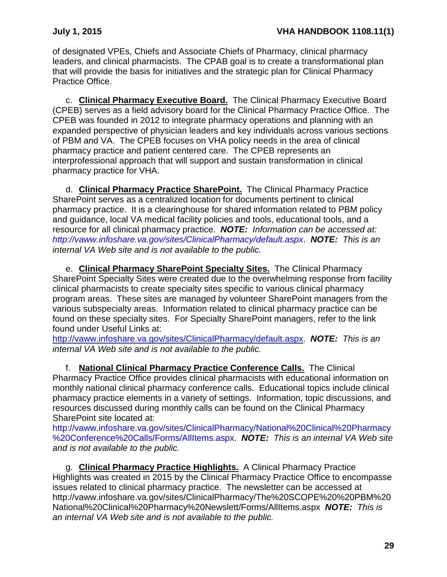of designated VPEs, Chiefs and Associate Chiefs of Pharmacy, clinical pharmacy leaders, and clinical pharmacists. The CPAB goal is to create a transformational plan that will provide the basis for initiatives and the strategic plan for Clinical Pharmacy Practice Office.

c. **Clinical Pharmacy Executive Board.** The Clinical Pharmacy Executive Board (CPEB) serves as a field advisory board for the Clinical Pharmacy Practice Office. The CPEB was founded in 2012 to integrate pharmacy operations and planning with an expanded perspective of physician leaders and key individuals across various sections of PBM and VA. The CPEB focuses on VHA policy needs in the area of clinical pharmacy practice and patient centered care. The CPEB represents an interprofessional approach that will support and sustain transformation in clinical pharmacy practice for VHA.

d. **Clinical Pharmacy Practice SharePoint.** The Clinical Pharmacy Practice SharePoint serves as a centralized location for documents pertinent to clinical pharmacy practice. It is a clearinghouse for shared information related to PBM policy and guidance, local VA medical facility policies and tools, educational tools, and a resource for all clinical pharmacy practice. *NOTE: Information can be accessed at: <http://vaww.infoshare.va.gov/sites/ClinicalPharmacy/default.aspx>*. *NOTE: This is an internal VA Web site and is not available to the public.*

e. **Clinical Pharmacy SharePoint Specialty Sites.** The Clinical Pharmacy SharePoint Specialty Sites were created due to the overwhelming response from facility clinical pharmacists to create specialty sites specific to various clinical pharmacy program areas. These sites are managed by volunteer SharePoint managers from the various subspecialty areas. Information related to clinical pharmacy practice can be found on these specialty sites. For Specialty SharePoint managers, refer to the link found under Useful Links at:

[http://vaww.infoshare.va.gov/sites/ClinicalPharmacy/default.aspx.](http://vaww.infoshare.va.gov/sites/ClinicalPharmacy/default.aspx) *NOTE: This is an internal VA Web site and is not available to the public.*

f. **National Clinical Pharmacy Practice Conference Calls.** The Clinical Pharmacy Practice Office provides clinical pharmacists with educational information on monthly national clinical pharmacy conference calls. Educational topics include clinical pharmacy practice elements in a variety of settings. Information, topic discussions, and resources discussed during monthly calls can be found on the Clinical Pharmacy SharePoint site located at:

[http://vaww.infoshare.va.gov/sites/ClinicalPharmacy/National%20Clinical%20Pharmacy](http://vaww.infoshare.va.gov/sites/ClinicalPharmacy/National%20Clinical%20Pharmacy%20Conference%20Calls/Forms/AllItems.aspx) [%20Conference%20Calls/Forms/AllItems.aspx.](http://vaww.infoshare.va.gov/sites/ClinicalPharmacy/National%20Clinical%20Pharmacy%20Conference%20Calls/Forms/AllItems.aspx) *NOTE: This is an internal VA Web site and is not available to the public.* 

g. **Clinical Pharmacy Practice Highlights.** A Clinical Pharmacy Practice Highlights was created in 2015 by the Clinical Pharmacy Practice Office to encompasse issues related to clinical pharmacy practice. The newsletter can be accessed at http://vaww.infoshare.va.gov/sites/ClinicalPharmacy/The%20SCOPE%20%20PBM%20 National%20Clinical%20Pharmacy%20Newslett/Forms/AllItems.aspx *NOTE: This is an internal VA Web site and is not available to the public.*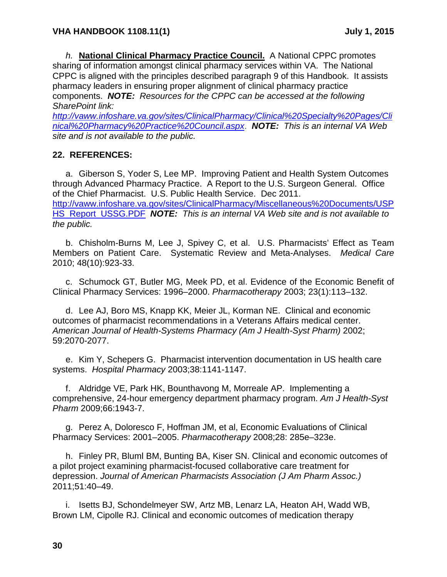*h.* **National Clinical Pharmacy Practice Council.** A National CPPC promotes sharing of information amongst clinical pharmacy services within VA. The National CPPC is aligned with the principles described paragraph 9 of this Handbook. It assists pharmacy leaders in ensuring proper alignment of clinical pharmacy practice components. *NOTE: Resources for the CPPC can be accessed at the following SharePoint link:* 

*[http://vaww.infoshare.va.gov/sites/ClinicalPharmacy/Clinical%20Specialty%20Pages/Cli](http://vaww.infoshare.va.gov/sites/ClinicalPharmacy/Clinical%20Specialty%20Pages/Clinical%20Pharmacy%20Practice%20Council.aspx) [nical%20Pharmacy%20Practice%20Council.aspx](http://vaww.infoshare.va.gov/sites/ClinicalPharmacy/Clinical%20Specialty%20Pages/Clinical%20Pharmacy%20Practice%20Council.aspx)*. *NOTE: This is an internal VA Web site and is not available to the public.* 

## <span id="page-33-0"></span>**22. REFERENCES:**

a. Giberson S, Yoder S, Lee MP. Improving Patient and Health System Outcomes through Advanced Pharmacy Practice. A Report to the U.S. Surgeon General. Office of the Chief Pharmacist. U.S. Public Health Service. Dec 2011. [http://vaww.infoshare.va.gov/sites/ClinicalPharmacy/Miscellaneous%20Documents/USP](http://vaww.infoshare.va.gov/sites/ClinicalPharmacy/Miscellaneous%20Documents/USPHS_Report_USSG.PDF) [HS\\_Report\\_USSG.PDF](http://vaww.infoshare.va.gov/sites/ClinicalPharmacy/Miscellaneous%20Documents/USPHS_Report_USSG.PDF) *NOTE: This is an internal VA Web site and is not available to the public.* 

b. Chisholm-Burns M, Lee J, Spivey C, et al. U.S. Pharmacists' Effect as Team Members on Patient Care. Systematic Review and Meta-Analyses. *Medical Care* 2010; 48(10):923-33.

c. Schumock GT, Butler MG, Meek PD, et al. Evidence of the Economic Benefit of Clinical Pharmacy Services: 1996–2000. *Pharmacotherapy* 2003; 23(1):113–132.

d. Lee AJ, Boro MS, Knapp KK, Meier JL, Korman NE. Clinical and economic outcomes of pharmacist recommendations in a Veterans Affairs medical center. *American Journal of Health-Systems Pharmacy (Am J Health-Syst Pharm)* 2002; 59:2070-2077.

e. Kim Y, Schepers G. Pharmacist intervention documentation in US health care systems. *Hospital Pharmacy* 2003;38:1141-1147.

f. Aldridge VE, Park HK, Bounthavong M, Morreale AP. Implementing a comprehensive, 24-hour emergency department pharmacy program. *Am J Health-Syst Pharm* 2009;66:1943-7.

g. Perez A, Doloresco F, Hoffman JM, et al, Economic Evaluations of Clinical Pharmacy Services: 2001–2005. *Pharmacotherapy* 2008;28: 285e–323e.

h. Finley PR, Bluml BM, Bunting BA, Kiser SN. Clinical and economic outcomes of a pilot project examining pharmacist-focused collaborative care treatment for depression. *Journal of American Pharmacists Association (J Am Pharm Assoc.)* 2011;51:40–49.

i. Isetts BJ, Schondelmeyer SW, Artz MB, Lenarz LA, Heaton AH, Wadd WB, Brown LM, Cipolle RJ. Clinical and economic outcomes of medication therapy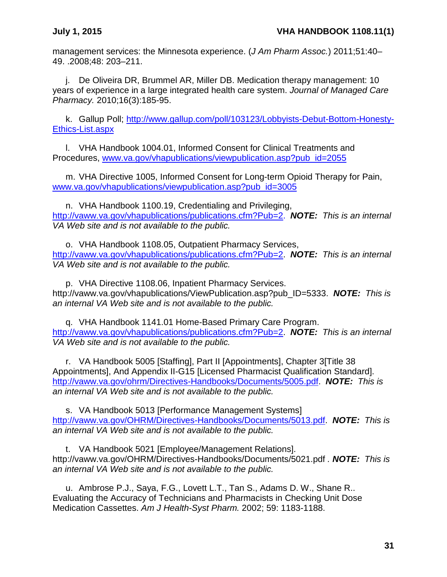management services: the Minnesota experience. (*J Am Pharm Assoc.*) 2011;51:40– 49. .2008;48: 203–211.

j. De Oliveira DR, Brummel AR, Miller DB. Medication therapy management: 10 years of experience in a large integrated health care system. *Journal of Managed Care Pharmacy.* 2010;16(3):185-95.

k. Gallup Poll; [http://www.gallup.com/poll/103123/Lobbyists-Debut-Bottom-Honesty-](http://www.gallup.com/poll/103123/Lobbyists-Debut-Bottom-Honesty-Ethics-List.aspx)[Ethics-List.aspx](http://www.gallup.com/poll/103123/Lobbyists-Debut-Bottom-Honesty-Ethics-List.aspx)

l. VHA Handbook 1004.01, Informed Consent for Clinical Treatments and Procedures, [www.va.gov/vhapublications/viewpublication.asp?pub\\_id=2055](http://www.va.gov/vhapublications/viewpublication.asp?pub_id=2055)

m. VHA Directive 1005, Informed Consent for Long-term Opioid Therapy for Pain, [www.va.gov/vhapublications/viewpublication.asp?pub\\_id=3005](http://www.va.gov/vhapublications/viewpublication.asp?pub_id=3005)

n. VHA Handbook 1100.19, Credentialing and Privileging, [http://vaww.va.gov/vhapublications/publications.cfm?Pub=2.](http://vaww.va.gov/vhapublications/publications.cfm?Pub=2) *NOTE: This is an internal VA Web site and is not available to the public.* 

o. VHA Handbook 1108.05, Outpatient Pharmacy Services, [http://vaww.va.gov/vhapublications/publications.cfm?Pub=2.](http://vaww.va.gov/vhapublications/publications.cfm?Pub=2) *NOTE: This is an internal VA Web site and is not available to the public.* 

p. VHA Directive 1108.06, Inpatient Pharmacy Services. http://vaww.va.gov/vhapublications/ViewPublication.asp?pub\_ID=5333. *NOTE: This is an internal VA Web site and is not available to the public.* 

q. VHA Handbook 1141.01 Home-Based Primary Care Program. [http://vaww.va.gov/vhapublications/publications.cfm?Pub=2.](http://vaww.va.gov/vhapublications/publications.cfm?Pub=2) *NOTE: This is an internal VA Web site and is not available to the public.* 

r. VA Handbook 5005 [Staffing], Part II [Appointments], Chapter 3[Title 38 Appointments], And Appendix II-G15 [Licensed Pharmacist Qualification Standard]. [http://vaww.va.gov/ohrm/Directives-Handbooks/Documents/5005.pdf.](http://vaww.va.gov/ohrm/Directives-Handbooks/Documents/5005.pdf) *NOTE: This is an internal VA Web site and is not available to the public.* 

s. VA Handbook 5013 [Performance Management Systems] [http://vaww.va.gov/OHRM/Directives-Handbooks/Documents/5013.pdf.](http://vaww.va.gov/OHRM/Directives-Handbooks/Documents/5013.pdf) *NOTE: This is an internal VA Web site and is not available to the public.*

t. VA Handbook 5021 [Employee/Management Relations]. http://vaww.va.gov/OHRM/Directives-Handbooks/Documents/5021.pdf *. NOTE: This is an internal VA Web site and is not available to the public.*

u. Ambrose P.J., Saya, F.G., Lovett L.T., Tan S., Adams D. W., Shane R.. Evaluating the Accuracy of Technicians and Pharmacists in Checking Unit Dose Medication Cassettes. *Am J Health-Syst Pharm.* 2002; 59: 1183-1188.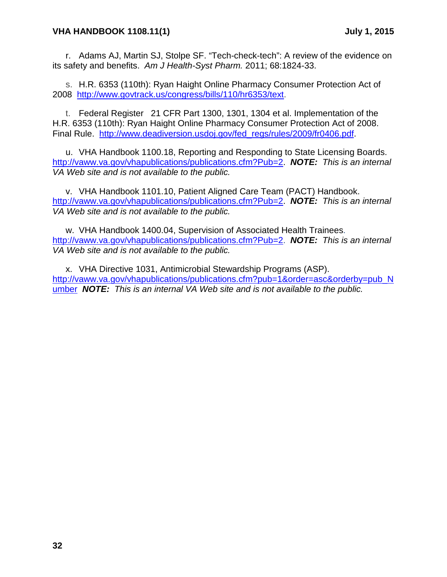r. Adams AJ, Martin SJ, Stolpe SF. "Tech-check-tech": A review of the evidence on its safety and benefits. *Am J Health-Syst Pharm.* 2011; 68:1824-33.

s. H.R. 6353 (110th): Ryan Haight Online Pharmacy Consumer Protection Act of 2008 [http://www.govtrack.us/congress/bills/110/hr6353/text.](http://www.govtrack.us/congress/bills/110/hr6353/text)

t. Federal Register 21 CFR Part 1300, 1301, 1304 et al. Implementation of the H.R. 6353 (110th): Ryan Haight Online Pharmacy Consumer Protection Act of 2008. Final Rule. [http://www.deadiversion.usdoj.gov/fed\\_regs/rules/2009/fr0406.pdf.](http://www.deadiversion.usdoj.gov/fed_regs/rules/2009/fr0406.pdf)

u. VHA Handbook 1100.18, Reporting and Responding to State Licensing Boards. [http://vaww.va.gov/vhapublications/publications.cfm?Pub=2.](http://vaww.va.gov/vhapublications/publications.cfm?Pub=2) *NOTE: This is an internal VA Web site and is not available to the public.* 

v. VHA Handbook 1101.10, Patient Aligned Care Team (PACT) Handbook. [http://vaww.va.gov/vhapublications/publications.cfm?Pub=2.](http://vaww.va.gov/vhapublications/publications.cfm?Pub=2) *NOTE: This is an internal VA Web site and is not available to the public.* 

w. VHA Handbook 1400.04, Supervision of Associated Health Trainees. [http://vaww.va.gov/vhapublications/publications.cfm?Pub=2.](http://vaww.va.gov/vhapublications/publications.cfm?Pub=2) *NOTE: This is an internal VA Web site and is not available to the public.* 

x. VHA Directive 1031, Antimicrobial Stewardship Programs (ASP). [http://vaww.va.gov/vhapublications/publications.cfm?pub=1&order=asc&orderby=pub\\_N](http://vaww.va.gov/vhapublications/publications.cfm?pub=1&order=asc&orderby=pub_Number) [umber](http://vaww.va.gov/vhapublications/publications.cfm?pub=1&order=asc&orderby=pub_Number) *NOTE: This is an internal VA Web site and is not available to the public.*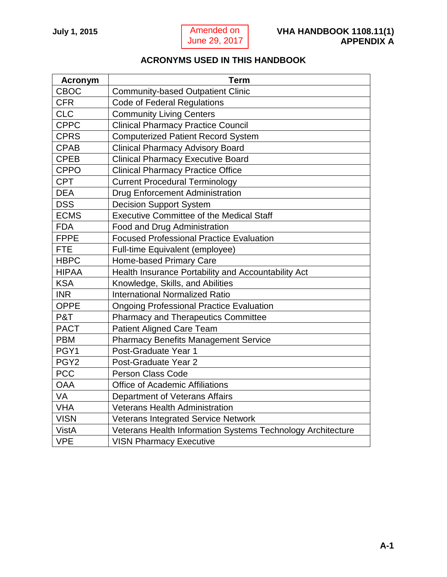# <span id="page-36-0"></span>**ACRONYMS USED IN THIS HANDBOOK**

<span id="page-36-1"></span>

| <b>Acronym</b>   | <b>Term</b>                                                 |
|------------------|-------------------------------------------------------------|
| <b>CBOC</b>      | <b>Community-based Outpatient Clinic</b>                    |
| <b>CFR</b>       | <b>Code of Federal Regulations</b>                          |
| <b>CLC</b>       | <b>Community Living Centers</b>                             |
| <b>CPPC</b>      | <b>Clinical Pharmacy Practice Council</b>                   |
| <b>CPRS</b>      | <b>Computerized Patient Record System</b>                   |
| <b>CPAB</b>      | <b>Clinical Pharmacy Advisory Board</b>                     |
| <b>CPEB</b>      | <b>Clinical Pharmacy Executive Board</b>                    |
| <b>CPPO</b>      | <b>Clinical Pharmacy Practice Office</b>                    |
| <b>CPT</b>       | <b>Current Procedural Terminology</b>                       |
| <b>DEA</b>       | <b>Drug Enforcement Administration</b>                      |
| <b>DSS</b>       | <b>Decision Support System</b>                              |
| <b>ECMS</b>      | <b>Executive Committee of the Medical Staff</b>             |
| <b>FDA</b>       | Food and Drug Administration                                |
| <b>FPPE</b>      | <b>Focused Professional Practice Evaluation</b>             |
| <b>FTE</b>       | Full-time Equivalent (employee)                             |
| <b>HBPC</b>      | Home-based Primary Care                                     |
| <b>HIPAA</b>     | Health Insurance Portability and Accountability Act         |
| <b>KSA</b>       | Knowledge, Skills, and Abilities                            |
| <b>INR</b>       | <b>International Normalized Ratio</b>                       |
| <b>OPPE</b>      | <b>Ongoing Professional Practice Evaluation</b>             |
| P&T              | <b>Pharmacy and Therapeutics Committee</b>                  |
| <b>PACT</b>      | <b>Patient Aligned Care Team</b>                            |
| <b>PBM</b>       | <b>Pharmacy Benefits Management Service</b>                 |
| PGY1             | Post-Graduate Year 1                                        |
| PGY <sub>2</sub> | Post-Graduate Year 2                                        |
| <b>PCC</b>       | <b>Person Class Code</b>                                    |
| <b>OAA</b>       | <b>Office of Academic Affiliations</b>                      |
| VA               | Department of Veterans Affairs                              |
| <b>VHA</b>       | <b>Veterans Health Administration</b>                       |
| <b>VISN</b>      | <b>Veterans Integrated Service Network</b>                  |
| <b>VistA</b>     | Veterans Health Information Systems Technology Architecture |
| <b>VPE</b>       | <b>VISN Pharmacy Executive</b>                              |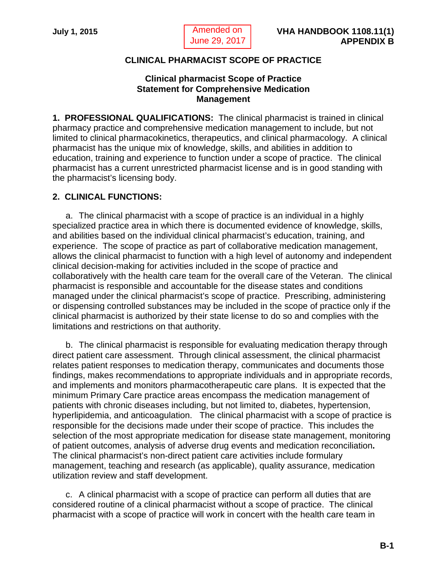<span id="page-37-0"></span> Amended on June 29, 2017

## **CLINICAL PHARMACIST SCOPE OF PRACTICE**

### **Clinical pharmacist Scope of Practice Statement for Comprehensive Medication Management**

<span id="page-37-1"></span>**1. PROFESSIONAL QUALIFICATIONS:** The clinical pharmacist is trained in clinical pharmacy practice and comprehensive medication management to include, but not limited to clinical pharmacokinetics, therapeutics, and clinical pharmacology. A clinical pharmacist has the unique mix of knowledge, skills, and abilities in addition to education, training and experience to function under a scope of practice. The clinical pharmacist has a current unrestricted pharmacist license and is in good standing with the pharmacist's licensing body.

## **2. CLINICAL FUNCTIONS:**

a. The clinical pharmacist with a scope of practice is an individual in a highly specialized practice area in which there is documented evidence of knowledge, skills, and abilities based on the individual clinical pharmacist's education, training, and experience. The scope of practice as part of collaborative medication management, allows the clinical pharmacist to function with a high level of autonomy and independent clinical decision-making for activities included in the scope of practice and collaboratively with the health care team for the overall care of the Veteran. The clinical pharmacist is responsible and accountable for the disease states and conditions managed under the clinical pharmacist's scope of practice. Prescribing, administering or dispensing controlled substances may be included in the scope of practice only if the clinical pharmacist is authorized by their state license to do so and complies with the limitations and restrictions on that authority.

b. The clinical pharmacist is responsible for evaluating medication therapy through direct patient care assessment. Through clinical assessment, the clinical pharmacist relates patient responses to medication therapy, communicates and documents those findings, makes recommendations to appropriate individuals and in appropriate records, and implements and monitors pharmacotherapeutic care plans. It is expected that the minimum Primary Care practice areas encompass the medication management of patients with chronic diseases including, but not limited to, diabetes, hypertension, hyperlipidemia, and anticoagulation. The clinical pharmacist with a scope of practice is responsible for the decisions made under their scope of practice. This includes the selection of the most appropriate medication for disease state management, monitoring of patient outcomes, analysis of adverse drug events and medication reconciliation**.**  The clinical pharmacist's non-direct patient care activities include formulary management, teaching and research (as applicable), quality assurance, medication utilization review and staff development.

c. A clinical pharmacist with a scope of practice can perform all duties that are considered routine of a clinical pharmacist without a scope of practice. The clinical pharmacist with a scope of practice will work in concert with the health care team in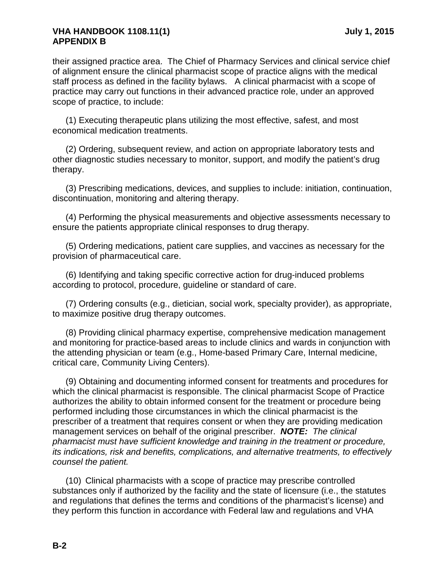#### **VHA HANDBOOK 1108.11(1) July 1, 2015 APPENDIX B**

their assigned practice area. The Chief of Pharmacy Services and clinical service chief of alignment ensure the clinical pharmacist scope of practice aligns with the medical staff process as defined in the facility bylaws. A clinical pharmacist with a scope of practice may carry out functions in their advanced practice role, under an approved scope of practice, to include:

(1) Executing therapeutic plans utilizing the most effective, safest, and most economical medication treatments.

(2) Ordering, subsequent review, and action on appropriate laboratory tests and other diagnostic studies necessary to monitor, support, and modify the patient's drug therapy.

(3) Prescribing medications, devices, and supplies to include: initiation, continuation, discontinuation, monitoring and altering therapy.

(4) Performing the physical measurements and objective assessments necessary to ensure the patients appropriate clinical responses to drug therapy.

(5) Ordering medications, patient care supplies, and vaccines as necessary for the provision of pharmaceutical care.

(6) Identifying and taking specific corrective action for drug-induced problems according to protocol, procedure, guideline or standard of care.

(7) Ordering consults (e.g., dietician, social work, specialty provider), as appropriate, to maximize positive drug therapy outcomes.

(8) Providing clinical pharmacy expertise, comprehensive medication management and monitoring for practice-based areas to include clinics and wards in conjunction with the attending physician or team (e.g., Home-based Primary Care, Internal medicine, critical care, Community Living Centers).

(9) Obtaining and documenting informed consent for treatments and procedures for which the clinical pharmacist is responsible. The clinical pharmacist Scope of Practice authorizes the ability to obtain informed consent for the treatment or procedure being performed including those circumstances in which the clinical pharmacist is the prescriber of a treatment that requires consent or when they are providing medication management services on behalf of the original prescriber. *NOTE: The clinical pharmacist must have sufficient knowledge and training in the treatment or procedure, its indications, risk and benefits, complications, and alternative treatments, to effectively counsel the patient.*

(10) Clinical pharmacists with a scope of practice may prescribe controlled substances only if authorized by the facility and the state of licensure (i.e., the statutes and regulations that defines the terms and conditions of the pharmacist's license) and they perform this function in accordance with Federal law and regulations and VHA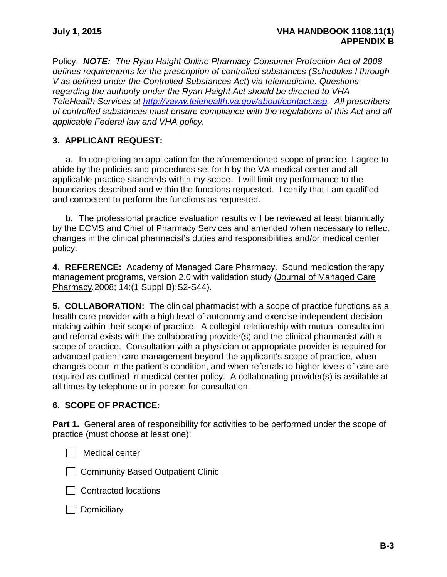Policy. *NOTE: The Ryan Haight Online Pharmacy Consumer Protection Act of 2008 defines requirements for the prescription of controlled substances (Schedules I through V as defined under the Controlled Substances Act*) *via telemedicine. Questions regarding the authority under the Ryan Haight Act should be directed to VHA TeleHealth Services at [http://vaww.telehealth.va.gov/about/contact.asp.](http://vaww.telehealth.va.gov/about/contact.asp) All prescribers of controlled substances must ensure compliance with the regulations of this Act and all applicable Federal law and VHA policy.*

## **3. APPLICANT REQUEST:**

a. In completing an application for the aforementioned scope of practice, I agree to abide by the policies and procedures set forth by the VA medical center and all applicable practice standards within my scope. I will limit my performance to the boundaries described and within the functions requested. I certify that I am qualified and competent to perform the functions as requested.

b. The professional practice evaluation results will be reviewed at least biannually by the ECMS and Chief of Pharmacy Services and amended when necessary to reflect changes in the clinical pharmacist's duties and responsibilities and/or medical center policy.

**4. REFERENCE:** Academy of Managed Care Pharmacy. Sound medication therapy management programs, version 2.0 with validation study (Journal of Managed Care Pharmacy*.*2008; 14:(1 Suppl B):S2-S44).

**5. COLLABORATION:** The clinical pharmacist with a scope of practice functions as a health care provider with a high level of autonomy and exercise independent decision making within their scope of practice. A collegial relationship with mutual consultation and referral exists with the collaborating provider(s) and the clinical pharmacist with a scope of practice. Consultation with a physician or appropriate provider is required for advanced patient care management beyond the applicant's scope of practice, when changes occur in the patient's condition, and when referrals to higher levels of care are required as outlined in medical center policy. A collaborating provider(s) is available at all times by telephone or in person for consultation.

## **6. SCOPE OF PRACTICE:**

**Part 1.** General area of responsibility for activities to be performed under the scope of practice (must choose at least one):

**Nedical center** 

**Community Based Outpatient Clinic** 

□ Contracted locations

 $\Box$  Domiciliary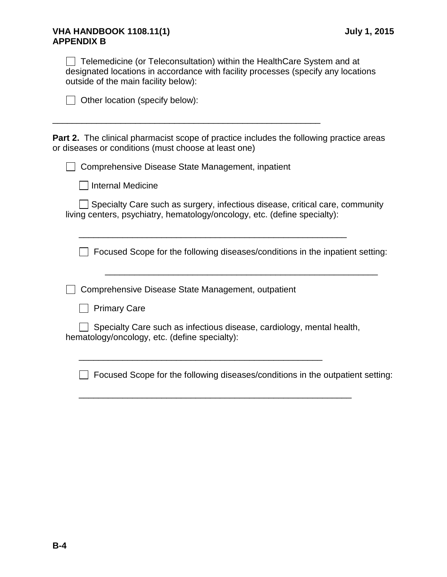#### **VHA HANDBOOK 1108.11(1) July 1, 2015 APPENDIX B**

 $\Box$  Telemedicine (or Teleconsultation) within the HealthCare System and at designated locations in accordance with facility processes (specify any locations outside of the main facility below):

|  | $\Box$ Other location (specify below): |  |  |
|--|----------------------------------------|--|--|
|  |                                        |  |  |

**Part 2.** The clinical pharmacist scope of practice includes the following practice areas or diseases or conditions (must choose at least one)

□ Comprehensive Disease State Management, inpatient

\_\_\_\_\_\_\_\_\_\_\_\_\_\_\_\_\_\_\_\_\_\_\_\_\_\_\_\_\_\_\_\_\_\_\_\_\_\_\_\_\_\_\_\_\_\_\_\_\_\_\_\_\_\_\_

 $\Box$  Internal Medicine

◯ Specialty Care such as surgery, infectious disease, critical care, community living centers, psychiatry, hematology/oncology, etc. (define specialty):

\_\_\_\_\_\_\_\_\_\_\_\_\_\_\_\_\_\_\_\_\_\_\_\_\_\_\_\_\_\_\_\_\_\_\_\_\_\_\_\_\_\_\_\_\_\_\_\_\_\_\_\_\_\_\_

Focused Scope for the following diseases/conditions in the inpatient setting:

\_\_\_\_\_\_\_\_\_\_\_\_\_\_\_\_\_\_\_\_\_\_\_\_\_\_\_\_\_\_\_\_\_\_\_\_\_\_\_\_\_\_\_\_\_\_\_\_\_\_\_\_\_\_\_\_

**Comprehensive Disease State Management, outpatient** 

**Primary Care** 

Specialty Care such as infectious disease, cardiology, mental health, hematology/oncology, etc. (define specialty):

\_\_\_\_\_\_\_\_\_\_\_\_\_\_\_\_\_\_\_\_\_\_\_\_\_\_\_\_\_\_\_\_\_\_\_\_\_\_\_\_\_\_\_\_\_\_\_\_\_\_\_\_\_\_\_\_

\_\_\_\_\_\_\_\_\_\_\_\_\_\_\_\_\_\_\_\_\_\_\_\_\_\_\_\_\_\_\_\_\_\_\_\_\_\_\_\_\_\_\_\_\_\_\_\_\_\_

 $\Box$  Focused Scope for the following diseases/conditions in the outpatient setting: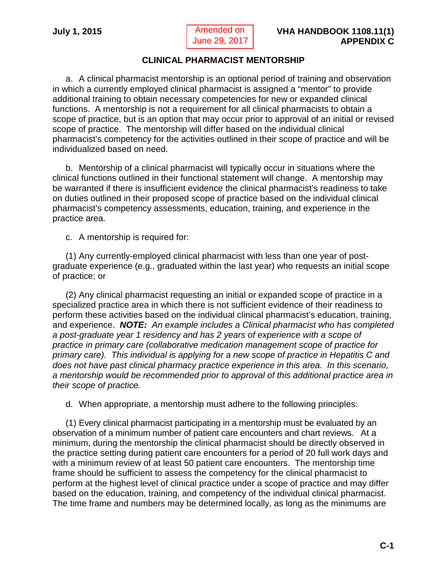<span id="page-41-0"></span> Amended on June 29, 2017

## **CLINICAL PHARMACIST MENTORSHIP**

<span id="page-41-1"></span>a. A clinical pharmacist mentorship is an optional period of training and observation in which a currently employed clinical pharmacist is assigned a "mentor" to provide additional training to obtain necessary competencies for new or expanded clinical functions. A mentorship is not a requirement for all clinical pharmacists to obtain a scope of practice, but is an option that may occur prior to approval of an initial or revised scope of practice. The mentorship will differ based on the individual clinical pharmacist's competency for the activities outlined in their scope of practice and will be individualized based on need.

b. Mentorship of a clinical pharmacist will typically occur in situations where the clinical functions outlined in their functional statement will change. A mentorship may be warranted if there is insufficient evidence the clinical pharmacist's readiness to take on duties outlined in their proposed scope of practice based on the individual clinical pharmacist's competency assessments, education, training, and experience in the practice area.

c. A mentorship is required for:

(1) Any currently-employed clinical pharmacist with less than one year of postgraduate experience (e.g., graduated within the last year) who requests an initial scope of practice; or

(2) Any clinical pharmacist requesting an initial or expanded scope of practice in a specialized practice area in which there is not sufficient evidence of their readiness to perform these activities based on the individual clinical pharmacist's education, training, and experience. *NOTE: An example includes a Clinical pharmacist who has completed a post-graduate year 1 residency and has 2 years of experience with a scope of practice in primary care (collaborative medication management scope of practice for primary care). This individual is applying for a new scope of practice in Hepatitis C and does not have past clinical pharmacy practice experience in this area. In this scenario, a mentorship would be recommended prior to approval of this additional practice area in their scope of practice.*

d. When appropriate, a mentorship must adhere to the following principles:

(1) Every clinical pharmacist participating in a mentorship must be evaluated by an observation of a minimum number of patient care encounters and chart reviews. At a minimum, during the mentorship the clinical pharmacist should be directly observed in the practice setting during patient care encounters for a period of 20 full work days and with a minimum review of at least 50 patient care encounters. The mentorship time frame should be sufficient to assess the competency for the clinical pharmacist to perform at the highest level of clinical practice under a scope of practice and may differ based on the education, training, and competency of the individual clinical pharmacist. The time frame and numbers may be determined locally, as long as the minimums are